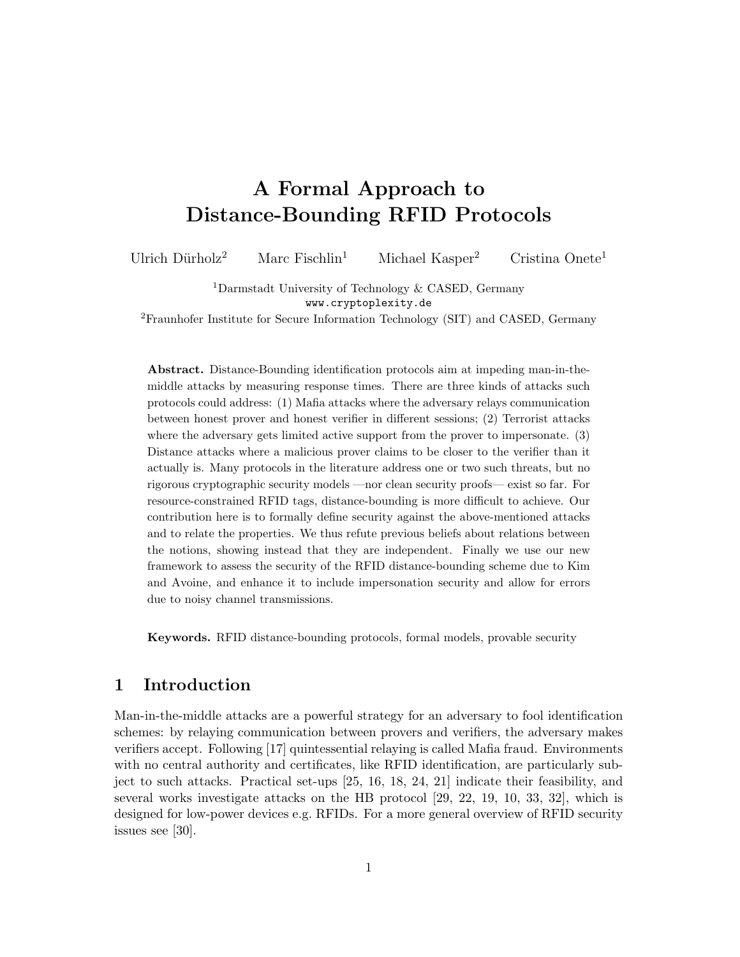# A Formal Approach to Distance-Bounding RFID Protocols

Ulrich Dürholz<sup>2</sup> Marc Fischlin<sup>1</sup> Michael Kasper<sup>2</sup> Cristina Onete<sup>1</sup>

<sup>1</sup>Darmstadt University of Technology & CASED, Germany www.cryptoplexity.de

<sup>2</sup>Fraunhofer Institute for Secure Information Technology (SIT) and CASED, Germany

Abstract. Distance-Bounding identification protocols aim at impeding man-in-themiddle attacks by measuring response times. There are three kinds of attacks such protocols could address: (1) Mafia attacks where the adversary relays communication between honest prover and honest verifier in different sessions; (2) Terrorist attacks where the adversary gets limited active support from the prover to impersonate. (3) Distance attacks where a malicious prover claims to be closer to the verifier than it actually is. Many protocols in the literature address one or two such threats, but no rigorous cryptographic security models —nor clean security proofs— exist so far. For resource-constrained RFID tags, distance-bounding is more difficult to achieve. Our contribution here is to formally define security against the above-mentioned attacks and to relate the properties. We thus refute previous beliefs about relations between the notions, showing instead that they are independent. Finally we use our new framework to assess the security of the RFID distance-bounding scheme due to Kim and Avoine, and enhance it to include impersonation security and allow for errors due to noisy channel transmissions.

Keywords. RFID distance-bounding protocols, formal models, provable security

# 1 Introduction

Man-in-the-middle attacks are a powerful strategy for an adversary to fool identification schemes: by relaying communication between provers and verifiers, the adversary makes verifiers accept. Following [17] quintessential relaying is called Mafia fraud. Environments with no central authority and certificates, like RFID identification, are particularly subject to such attacks. Practical set-ups [25, 16, 18, 24, 21] indicate their feasibility, and several works investigate attacks on the HB protocol [29, 22, 19, 10, 33, 32], which is designed for low-power devices e.g. RFIDs. For a more general overview of RFID security issues see [30].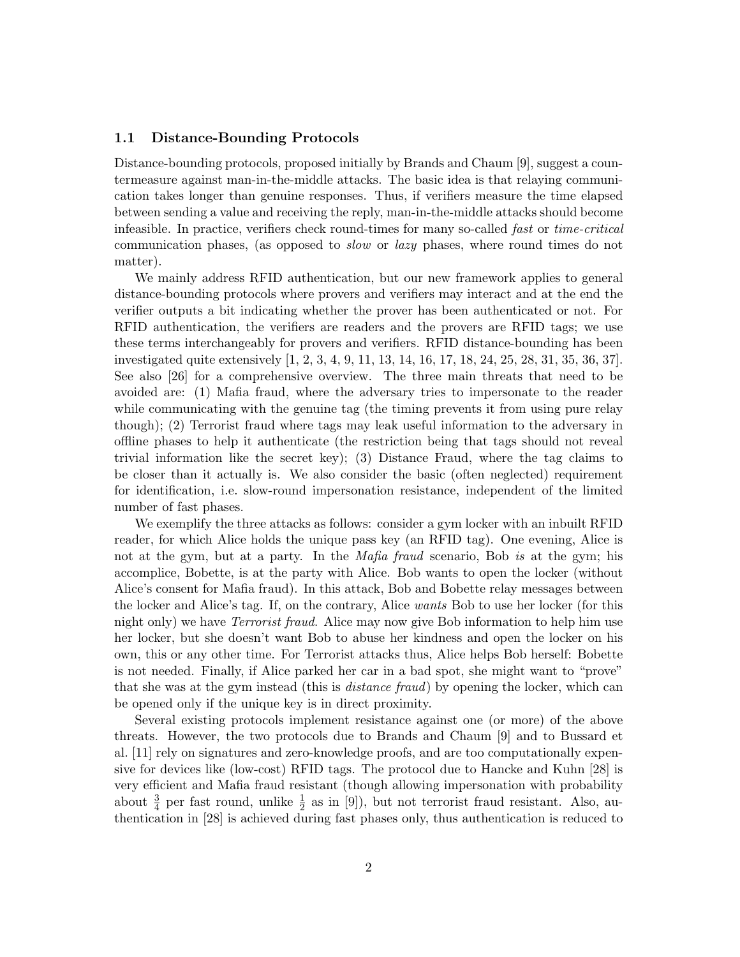#### 1.1 Distance-Bounding Protocols

Distance-bounding protocols, proposed initially by Brands and Chaum [9], suggest a countermeasure against man-in-the-middle attacks. The basic idea is that relaying communication takes longer than genuine responses. Thus, if verifiers measure the time elapsed between sending a value and receiving the reply, man-in-the-middle attacks should become infeasible. In practice, verifiers check round-times for many so-called fast or time-critical communication phases, (as opposed to slow or lazy phases, where round times do not matter).

We mainly address RFID authentication, but our new framework applies to general distance-bounding protocols where provers and verifiers may interact and at the end the verifier outputs a bit indicating whether the prover has been authenticated or not. For RFID authentication, the verifiers are readers and the provers are RFID tags; we use these terms interchangeably for provers and verifiers. RFID distance-bounding has been investigated quite extensively [1, 2, 3, 4, 9, 11, 13, 14, 16, 17, 18, 24, 25, 28, 31, 35, 36, 37]. See also [26] for a comprehensive overview. The three main threats that need to be avoided are: (1) Mafia fraud, where the adversary tries to impersonate to the reader while communicating with the genuine tag (the timing prevents it from using pure relay though); (2) Terrorist fraud where tags may leak useful information to the adversary in offline phases to help it authenticate (the restriction being that tags should not reveal trivial information like the secret key); (3) Distance Fraud, where the tag claims to be closer than it actually is. We also consider the basic (often neglected) requirement for identification, i.e. slow-round impersonation resistance, independent of the limited number of fast phases.

We exemplify the three attacks as follows: consider a gym locker with an inbuilt RFID reader, for which Alice holds the unique pass key (an RFID tag). One evening, Alice is not at the gym, but at a party. In the *Mafia fraud* scenario, Bob is at the gym; his accomplice, Bobette, is at the party with Alice. Bob wants to open the locker (without Alice's consent for Mafia fraud). In this attack, Bob and Bobette relay messages between the locker and Alice's tag. If, on the contrary, Alice wants Bob to use her locker (for this night only) we have Terrorist fraud. Alice may now give Bob information to help him use her locker, but she doesn't want Bob to abuse her kindness and open the locker on his own, this or any other time. For Terrorist attacks thus, Alice helps Bob herself: Bobette is not needed. Finally, if Alice parked her car in a bad spot, she might want to "prove" that she was at the gym instead (this is distance fraud) by opening the locker, which can be opened only if the unique key is in direct proximity.

Several existing protocols implement resistance against one (or more) of the above threats. However, the two protocols due to Brands and Chaum [9] and to Bussard et al. [11] rely on signatures and zero-knowledge proofs, and are too computationally expensive for devices like (low-cost) RFID tags. The protocol due to Hancke and Kuhn [28] is very efficient and Mafia fraud resistant (though allowing impersonation with probability about  $\frac{3}{4}$  per fast round, unlike  $\frac{1}{2}$  as in [9]), but not terrorist fraud resistant. Also, authentication in [28] is achieved during fast phases only, thus authentication is reduced to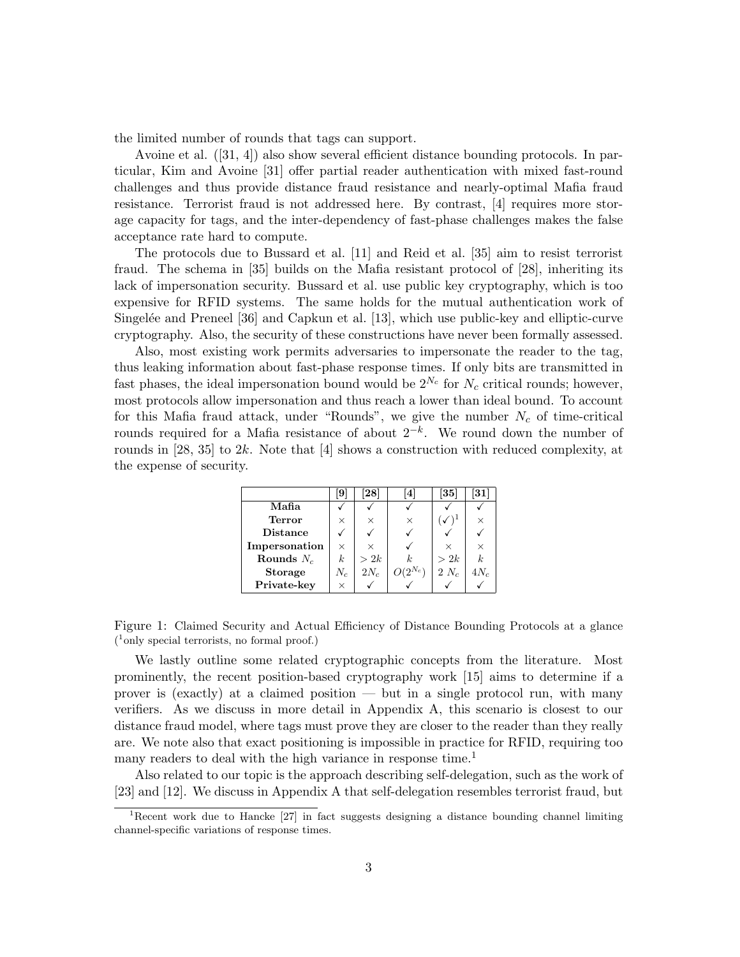the limited number of rounds that tags can support.

Avoine et al. ([31, 4]) also show several efficient distance bounding protocols. In particular, Kim and Avoine [31] offer partial reader authentication with mixed fast-round challenges and thus provide distance fraud resistance and nearly-optimal Mafia fraud resistance. Terrorist fraud is not addressed here. By contrast, [4] requires more storage capacity for tags, and the inter-dependency of fast-phase challenges makes the false acceptance rate hard to compute.

The protocols due to Bussard et al. [11] and Reid et al. [35] aim to resist terrorist fraud. The schema in [35] builds on the Mafia resistant protocol of [28], inheriting its lack of impersonation security. Bussard et al. use public key cryptography, which is too expensive for RFID systems. The same holds for the mutual authentication work of Singelée and Preneel [36] and Capkun et al. [13], which use public-key and elliptic-curve cryptography. Also, the security of these constructions have never been formally assessed.

Also, most existing work permits adversaries to impersonate the reader to the tag, thus leaking information about fast-phase response times. If only bits are transmitted in fast phases, the ideal impersonation bound would be  $2^{N_c}$  for  $N_c$  critical rounds; however, most protocols allow impersonation and thus reach a lower than ideal bound. To account for this Mafia fraud attack, under "Rounds", we give the number  $N_c$  of time-critical rounds required for a Mafia resistance of about  $2^{-k}$ . We round down the number of rounds in [28, 35] to 2k. Note that [4] shows a construction with reduced complexity, at the expense of security.

|                 | У                | 28       | 4            | [35]    | 31               |
|-----------------|------------------|----------|--------------|---------|------------------|
| Mafia           |                  |          |              |         |                  |
| <b>Terror</b>   | ×                | ×        |              |         | $\times$         |
| <b>Distance</b> |                  |          |              |         |                  |
| Impersonation   | X                | $\times$ |              | ×       | $\times$         |
| Rounds $N_c$    | $\boldsymbol{k}$ | > 2k     | k.           | > 2k    | $\boldsymbol{k}$ |
| <b>Storage</b>  | $N_c$            | $2N_c$   | $\gamma N_c$ | $2 N_c$ | $4N_c$           |
| Private-key     |                  |          |              |         |                  |

Figure 1: Claimed Security and Actual Efficiency of Distance Bounding Protocols at a glance ( 1 only special terrorists, no formal proof.)

We lastly outline some related cryptographic concepts from the literature. Most prominently, the recent position-based cryptography work [15] aims to determine if a prover is (exactly) at a claimed position — but in a single protocol run, with many verifiers. As we discuss in more detail in Appendix A, this scenario is closest to our distance fraud model, where tags must prove they are closer to the reader than they really are. We note also that exact positioning is impossible in practice for RFID, requiring too many readers to deal with the high variance in response time.<sup>1</sup>

Also related to our topic is the approach describing self-delegation, such as the work of [23] and [12]. We discuss in Appendix A that self-delegation resembles terrorist fraud, but

<sup>1</sup>Recent work due to Hancke [27] in fact suggests designing a distance bounding channel limiting channel-specific variations of response times.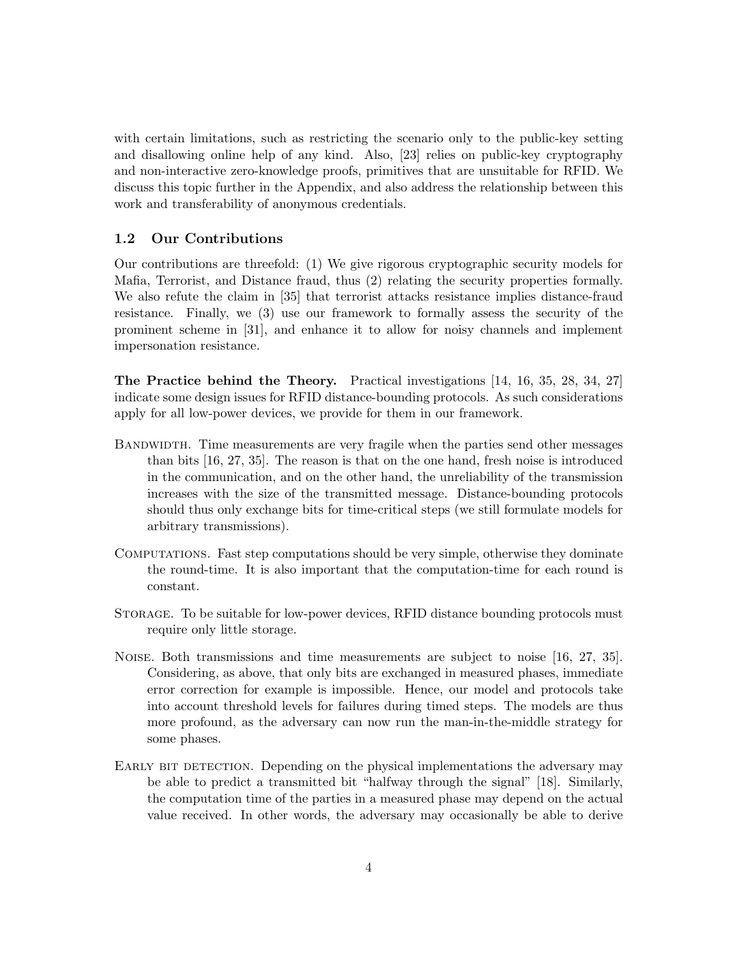with certain limitations, such as restricting the scenario only to the public-key setting and disallowing online help of any kind. Also, [23] relies on public-key cryptography and non-interactive zero-knowledge proofs, primitives that are unsuitable for RFID. We discuss this topic further in the Appendix, and also address the relationship between this work and transferability of anonymous credentials.

#### 1.2 Our Contributions

Our contributions are threefold: (1) We give rigorous cryptographic security models for Mafia, Terrorist, and Distance fraud, thus (2) relating the security properties formally. We also refute the claim in [35] that terrorist attacks resistance implies distance-fraud resistance. Finally, we (3) use our framework to formally assess the security of the prominent scheme in [31], and enhance it to allow for noisy channels and implement impersonation resistance.

The Practice behind the Theory. Practical investigations [14, 16, 35, 28, 34, 27] indicate some design issues for RFID distance-bounding protocols. As such considerations apply for all low-power devices, we provide for them in our framework.

- BANDWIDTH. Time measurements are very fragile when the parties send other messages than bits [16, 27, 35]. The reason is that on the one hand, fresh noise is introduced in the communication, and on the other hand, the unreliability of the transmission increases with the size of the transmitted message. Distance-bounding protocols should thus only exchange bits for time-critical steps (we still formulate models for arbitrary transmissions).
- Computations. Fast step computations should be very simple, otherwise they dominate the round-time. It is also important that the computation-time for each round is constant.
- Storage. To be suitable for low-power devices, RFID distance bounding protocols must require only little storage.
- Noise. Both transmissions and time measurements are subject to noise [16, 27, 35]. Considering, as above, that only bits are exchanged in measured phases, immediate error correction for example is impossible. Hence, our model and protocols take into account threshold levels for failures during timed steps. The models are thus more profound, as the adversary can now run the man-in-the-middle strategy for some phases.
- EARLY BIT DETECTION. Depending on the physical implementations the adversary may be able to predict a transmitted bit "halfway through the signal" [18]. Similarly, the computation time of the parties in a measured phase may depend on the actual value received. In other words, the adversary may occasionally be able to derive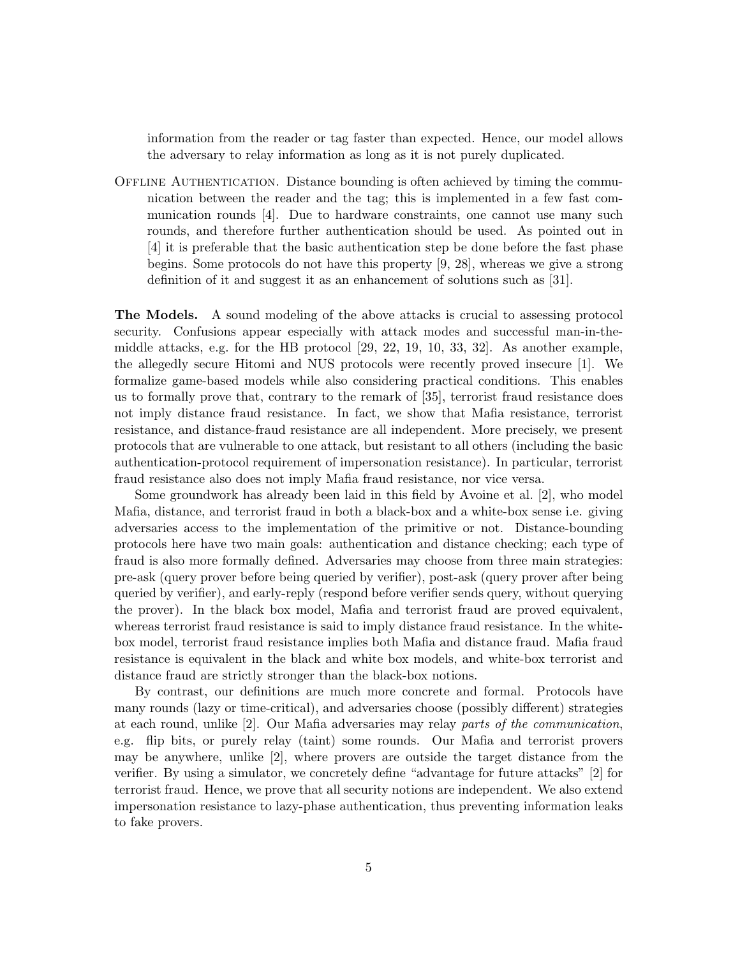information from the reader or tag faster than expected. Hence, our model allows the adversary to relay information as long as it is not purely duplicated.

Offline Authentication. Distance bounding is often achieved by timing the communication between the reader and the tag; this is implemented in a few fast communication rounds [4]. Due to hardware constraints, one cannot use many such rounds, and therefore further authentication should be used. As pointed out in [4] it is preferable that the basic authentication step be done before the fast phase begins. Some protocols do not have this property [9, 28], whereas we give a strong definition of it and suggest it as an enhancement of solutions such as [31].

The Models. A sound modeling of the above attacks is crucial to assessing protocol security. Confusions appear especially with attack modes and successful man-in-themiddle attacks, e.g. for the HB protocol [29, 22, 19, 10, 33, 32]. As another example, the allegedly secure Hitomi and NUS protocols were recently proved insecure [1]. We formalize game-based models while also considering practical conditions. This enables us to formally prove that, contrary to the remark of [35], terrorist fraud resistance does not imply distance fraud resistance. In fact, we show that Mafia resistance, terrorist resistance, and distance-fraud resistance are all independent. More precisely, we present protocols that are vulnerable to one attack, but resistant to all others (including the basic authentication-protocol requirement of impersonation resistance). In particular, terrorist fraud resistance also does not imply Mafia fraud resistance, nor vice versa.

Some groundwork has already been laid in this field by Avoine et al. [2], who model Mafia, distance, and terrorist fraud in both a black-box and a white-box sense i.e. giving adversaries access to the implementation of the primitive or not. Distance-bounding protocols here have two main goals: authentication and distance checking; each type of fraud is also more formally defined. Adversaries may choose from three main strategies: pre-ask (query prover before being queried by verifier), post-ask (query prover after being queried by verifier), and early-reply (respond before verifier sends query, without querying the prover). In the black box model, Mafia and terrorist fraud are proved equivalent, whereas terrorist fraud resistance is said to imply distance fraud resistance. In the whitebox model, terrorist fraud resistance implies both Mafia and distance fraud. Mafia fraud resistance is equivalent in the black and white box models, and white-box terrorist and distance fraud are strictly stronger than the black-box notions.

By contrast, our definitions are much more concrete and formal. Protocols have many rounds (lazy or time-critical), and adversaries choose (possibly different) strategies at each round, unlike [2]. Our Mafia adversaries may relay parts of the communication, e.g. flip bits, or purely relay (taint) some rounds. Our Mafia and terrorist provers may be anywhere, unlike [2], where provers are outside the target distance from the verifier. By using a simulator, we concretely define "advantage for future attacks" [2] for terrorist fraud. Hence, we prove that all security notions are independent. We also extend impersonation resistance to lazy-phase authentication, thus preventing information leaks to fake provers.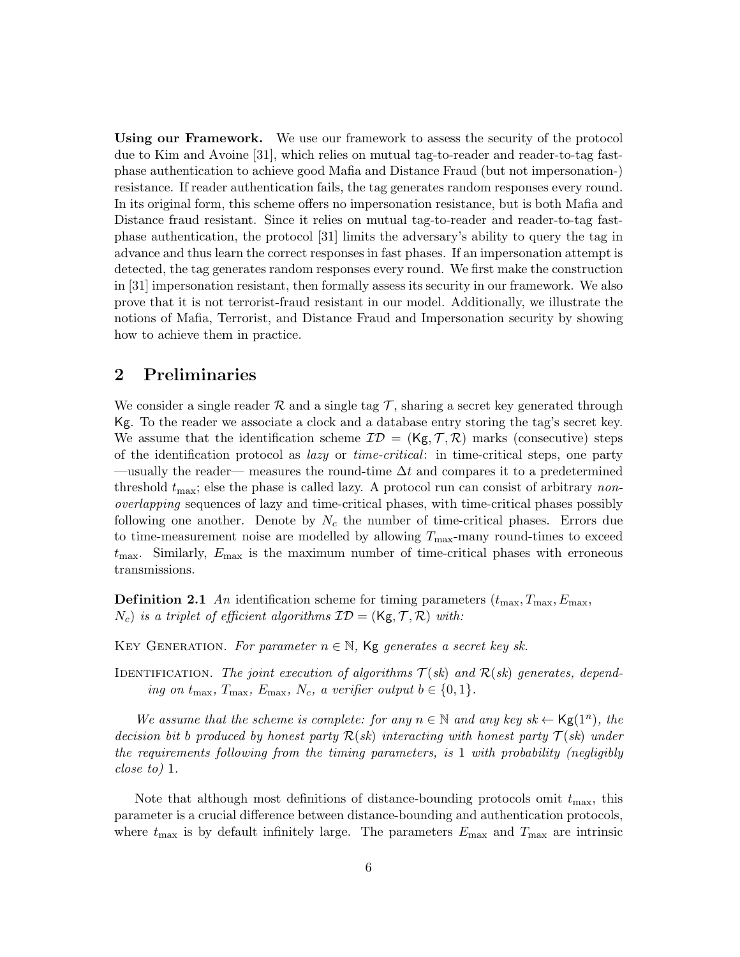Using our Framework. We use our framework to assess the security of the protocol due to Kim and Avoine [31], which relies on mutual tag-to-reader and reader-to-tag fastphase authentication to achieve good Mafia and Distance Fraud (but not impersonation-) resistance. If reader authentication fails, the tag generates random responses every round. In its original form, this scheme offers no impersonation resistance, but is both Mafia and Distance fraud resistant. Since it relies on mutual tag-to-reader and reader-to-tag fastphase authentication, the protocol [31] limits the adversary's ability to query the tag in advance and thus learn the correct responses in fast phases. If an impersonation attempt is detected, the tag generates random responses every round. We first make the construction in [31] impersonation resistant, then formally assess its security in our framework. We also prove that it is not terrorist-fraud resistant in our model. Additionally, we illustrate the notions of Mafia, Terrorist, and Distance Fraud and Impersonation security by showing how to achieve them in practice.

### 2 Preliminaries

We consider a single reader  $\mathcal R$  and a single tag  $\mathcal T$ , sharing a secret key generated through Kg. To the reader we associate a clock and a database entry storing the tag's secret key. We assume that the identification scheme  $\mathcal{ID} = (Kg, \mathcal{T}, \mathcal{R})$  marks (consecutive) steps of the identification protocol as lazy or time-critical: in time-critical steps, one party —usually the reader— measures the round-time  $\Delta t$  and compares it to a predetermined threshold  $t_{\text{max}}$ ; else the phase is called lazy. A protocol run can consist of arbitrary nonoverlapping sequences of lazy and time-critical phases, with time-critical phases possibly following one another. Denote by  $N_c$  the number of time-critical phases. Errors due to time-measurement noise are modelled by allowing  $T_{\text{max}}$ -many round-times to exceed  $t_{\text{max}}$ . Similarly,  $E_{\text{max}}$  is the maximum number of time-critical phases with erroneous transmissions.

**Definition 2.1** An identification scheme for timing parameters  $(t_{\text{max}}, T_{\text{max}}, E_{\text{max}})$  $N_c$ ) is a triplet of efficient algorithms  $\mathcal{ID} = (Kg, \mathcal{T}, \mathcal{R})$  with:

KEY GENERATION. For parameter  $n \in \mathbb{N}$ , Kg generates a secret key sk.

IDENTIFICATION. The joint execution of algorithms  $\mathcal{T}(sk)$  and  $\mathcal{R}(sk)$  generates, depending on  $t_{\text{max}}$ ,  $T_{\text{max}}$ ,  $E_{\text{max}}$ ,  $N_c$ , a verifier output  $b \in \{0, 1\}$ .

We assume that the scheme is complete: for any  $n \in \mathbb{N}$  and any key  $sk \leftarrow \mathsf{Kg}(1^n)$ , the decision bit b produced by honest party  $\mathcal{R}(sk)$  interacting with honest party  $\mathcal{T}(sk)$  under the requirements following from the timing parameters, is 1 with probability (negligibly close to) 1.

Note that although most definitions of distance-bounding protocols omit  $t_{\text{max}}$ , this parameter is a crucial difference between distance-bounding and authentication protocols, where  $t_{\text{max}}$  is by default infinitely large. The parameters  $E_{\text{max}}$  and  $T_{\text{max}}$  are intrinsic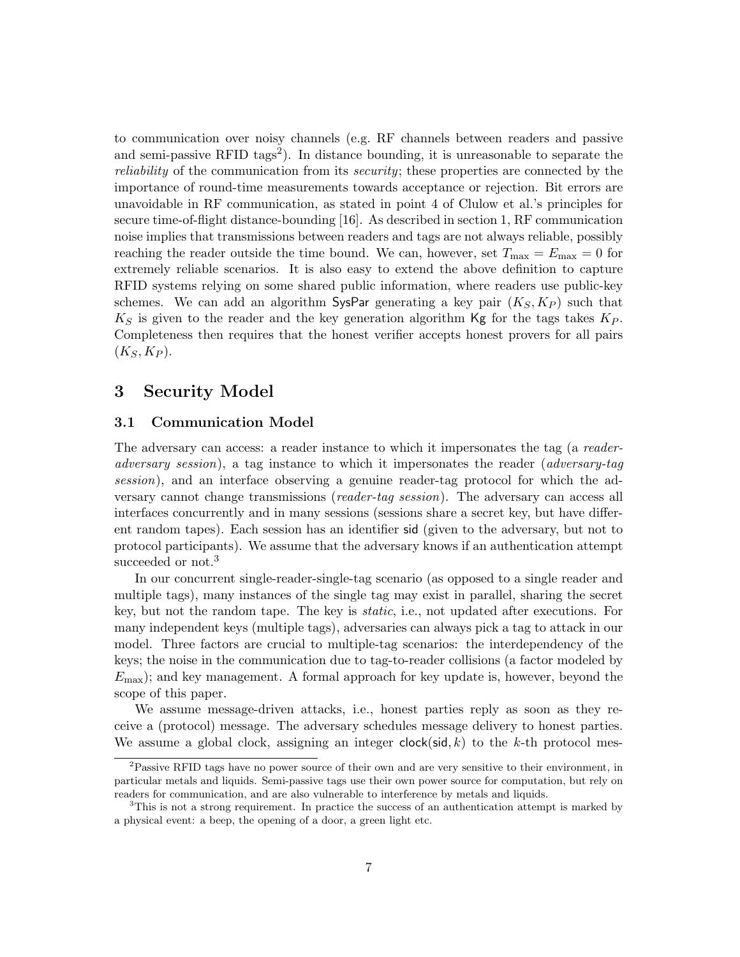to communication over noisy channels (e.g. RF channels between readers and passive and semi-passive RFID tags<sup>2</sup>). In distance bounding, it is unreasonable to separate the reliability of the communication from its security; these properties are connected by the importance of round-time measurements towards acceptance or rejection. Bit errors are unavoidable in RF communication, as stated in point 4 of Clulow et al.'s principles for secure time-of-flight distance-bounding [16]. As described in section 1, RF communication noise implies that transmissions between readers and tags are not always reliable, possibly reaching the reader outside the time bound. We can, however, set  $T_{\text{max}} = E_{\text{max}} = 0$  for extremely reliable scenarios. It is also easy to extend the above definition to capture RFID systems relying on some shared public information, where readers use public-key schemes. We can add an algorithm SysPar generating a key pair  $(K_S, K_P)$  such that  $K_S$  is given to the reader and the key generation algorithm Kg for the tags takes  $K_P$ . Completeness then requires that the honest verifier accepts honest provers for all pairs  $(K_S, K_P).$ 

### 3 Security Model

#### 3.1 Communication Model

The adversary can access: a reader instance to which it impersonates the tag (a readeradversary session), a tag instance to which it impersonates the reader (adversary-tag session), and an interface observing a genuine reader-tag protocol for which the adversary cannot change transmissions (reader-tag session). The adversary can access all interfaces concurrently and in many sessions (sessions share a secret key, but have different random tapes). Each session has an identifier sid (given to the adversary, but not to protocol participants). We assume that the adversary knows if an authentication attempt succeeded or not.<sup>3</sup>

In our concurrent single-reader-single-tag scenario (as opposed to a single reader and multiple tags), many instances of the single tag may exist in parallel, sharing the secret key, but not the random tape. The key is static, i.e., not updated after executions. For many independent keys (multiple tags), adversaries can always pick a tag to attack in our model. Three factors are crucial to multiple-tag scenarios: the interdependency of the keys; the noise in the communication due to tag-to-reader collisions (a factor modeled by  $E_{\text{max}}$ ); and key management. A formal approach for key update is, however, beyond the scope of this paper.

We assume message-driven attacks, i.e., honest parties reply as soon as they receive a (protocol) message. The adversary schedules message delivery to honest parties. We assume a global clock, assigning an integer  $clock(side, k)$  to the k-th protocol mes-

<sup>&</sup>lt;sup>2</sup>Passive RFID tags have no power source of their own and are very sensitive to their environment, in particular metals and liquids. Semi-passive tags use their own power source for computation, but rely on readers for communication, and are also vulnerable to interference by metals and liquids.

<sup>3</sup>This is not a strong requirement. In practice the success of an authentication attempt is marked by a physical event: a beep, the opening of a door, a green light etc.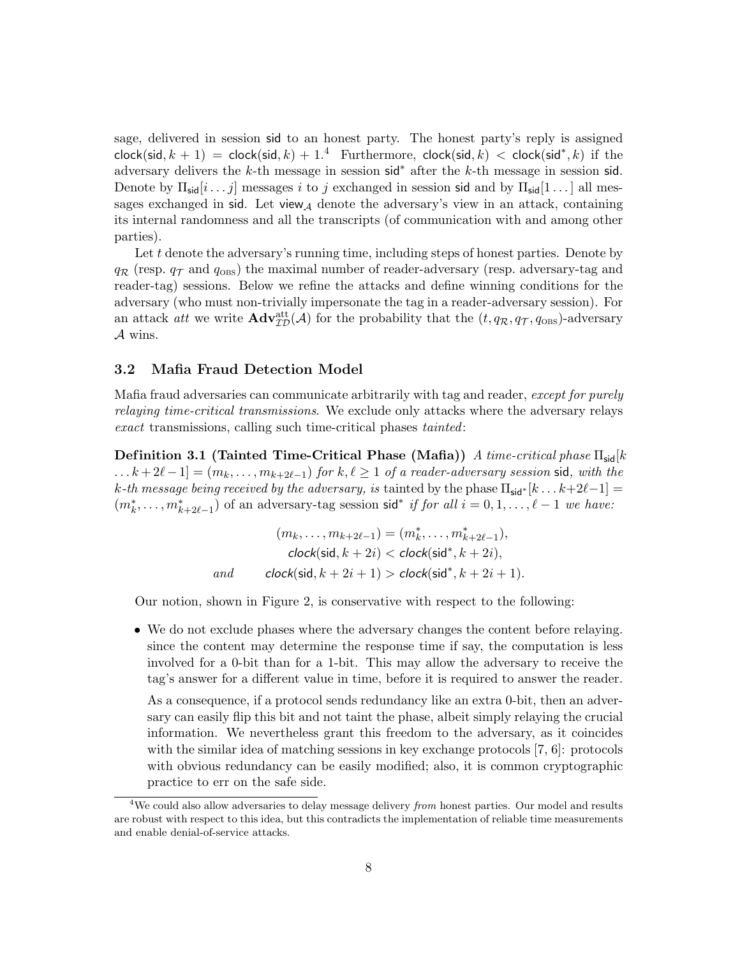sage, delivered in session sid to an honest party. The honest party's reply is assigned  $\mathsf{clock}(\mathsf{sid}, k+1) \ = \ \mathsf{clock}(\mathsf{sid}, k) + 1.^4 \ \ \ \mathsf{Furthermore, \ clock}(\mathsf{sid}, k) \ < \ \mathsf{clock}(\mathsf{sid}^*, k) \ \ \text{if \ the}$ adversary delivers the k-th message in session sid<sup>\*</sup> after the k-th message in session sid. Denote by  $\Pi_{\text{sid}}[i \dots j]$  messages i to j exchanged in session sid and by  $\Pi_{\text{sid}}[1 \dots]$  all messages exchanged in sid. Let view<sub>A</sub> denote the adversary's view in an attack, containing its internal randomness and all the transcripts (of communication with and among other parties).

Let  $t$  denote the adversary's running time, including steps of honest parties. Denote by  $q_{\mathcal{R}}$  (resp.  $q_{\mathcal{T}}$  and  $q_{\text{OBS}}$ ) the maximal number of reader-adversary (resp. adversary-tag and reader-tag) sessions. Below we refine the attacks and define winning conditions for the adversary (who must non-trivially impersonate the tag in a reader-adversary session). For an attack *att* we write  $\mathbf{Adv}_{ID}^{\text{att}}(\mathcal{A})$  for the probability that the  $(t, q_{\mathcal{R}}, q_{\mathcal{T}}, q_{\text{obs}})$ -adversary  $\mathcal A$  wins.

#### 3.2 Mafia Fraud Detection Model

Mafia fraud adversaries can communicate arbitrarily with tag and reader, except for purely relaying time-critical transmissions. We exclude only attacks where the adversary relays exact transmissions, calling such time-critical phases tainted:

Definition 3.1 (Tainted Time-Critical Phase (Mafia)) A time-critical phase  $\Pi_{\rm sid}[k]$  $\dots k + 2\ell - 1] = (m_k, \dots, m_{k+2\ell-1})$  for  $k, \ell \geq 1$  of a reader-adversary session sid, with the k-th message being received by the adversary, is tainted by the phase  $\Pi_{\mathsf{sid}^*}[k \dots k+2\ell-1] =$  $(m_k^*, \ldots, m_{k+2\ell-1}^*)$  of an adversary-tag session sid<sup>\*</sup> if for all  $i = 0, 1, \ldots, \ell - 1$  we have:

$$
(m_k, \ldots, m_{k+2\ell-1}) = (m_k^*, \ldots, m_{k+2\ell-1}^*),
$$
  
\n
$$
clock(\text{sid}, k+2i) < clock(\text{sid}^*, k+2i),
$$
  
\n
$$
and \qquad clock(\text{sid}, k+2i+1) > clock(\text{sid}^*, k+2i+1).
$$

Our notion, shown in Figure 2, is conservative with respect to the following:

• We do not exclude phases where the adversary changes the content before relaying. since the content may determine the response time if say, the computation is less involved for a 0-bit than for a 1-bit. This may allow the adversary to receive the tag's answer for a different value in time, before it is required to answer the reader.

As a consequence, if a protocol sends redundancy like an extra 0-bit, then an adversary can easily flip this bit and not taint the phase, albeit simply relaying the crucial information. We nevertheless grant this freedom to the adversary, as it coincides with the similar idea of matching sessions in key exchange protocols [7, 6]: protocols with obvious redundancy can be easily modified; also, it is common cryptographic practice to err on the safe side.

<sup>&</sup>lt;sup>4</sup>We could also allow adversaries to delay message delivery *from* honest parties. Our model and results are robust with respect to this idea, but this contradicts the implementation of reliable time measurements and enable denial-of-service attacks.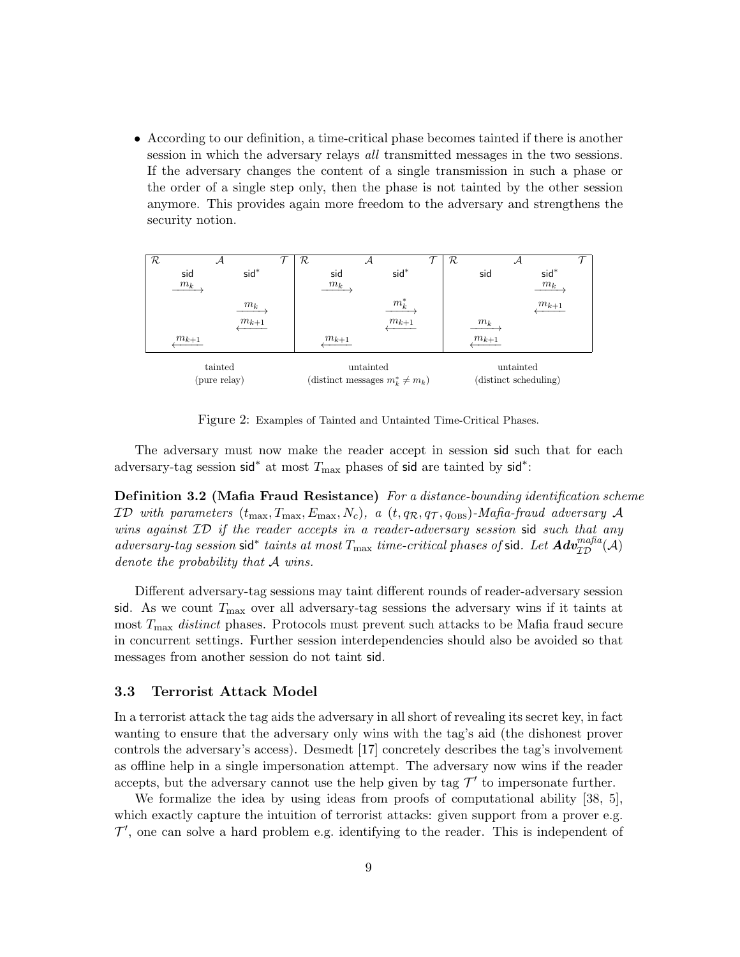• According to our definition, a time-critical phase becomes tainted if there is another session in which the adversary relays all transmitted messages in the two sessions. If the adversary changes the content of a single transmission in such a phase or the order of a single step only, then the phase is not tainted by the other session anymore. This provides again more freedom to the adversary and strengthens the security notion.



Figure 2: Examples of Tainted and Untainted Time-Critical Phases.

The adversary must now make the reader accept in session sid such that for each adversary-tag session sid<sup>\*</sup> at most  $T_{\text{max}}$  phases of sid are tainted by sid<sup>\*</sup>:

**Definition 3.2 (Mafia Fraud Resistance)** For a distance-bounding identification scheme *ID* with parameters  $(t_{\text{max}}, T_{\text{max}}, E_{\text{max}}, N_c)$ , a  $(t, q_{\mathcal{R}}, q_{\mathcal{T}}, q_{\text{obs}})$ -Mafia-fraud adversary A wins against  $\mathcal{ID}$  if the reader accepts in a reader-adversary session sid such that any  $adversary-tag \ session \ sid^* \ taints \ at \ most \ T_{\max} \ time-critical \ phases \ of \ sid. \ Let \ \pmb{Adv}^{mafa}_{\mathcal{ID}}(\mathcal{A})$ denote the probability that A wins.

Different adversary-tag sessions may taint different rounds of reader-adversary session sid. As we count  $T_{\text{max}}$  over all adversary-tag sessions the adversary wins if it taints at most  $T_{\text{max}}$  distinct phases. Protocols must prevent such attacks to be Mafia fraud secure in concurrent settings. Further session interdependencies should also be avoided so that messages from another session do not taint sid.

#### 3.3 Terrorist Attack Model

In a terrorist attack the tag aids the adversary in all short of revealing its secret key, in fact wanting to ensure that the adversary only wins with the tag's aid (the dishonest prover controls the adversary's access). Desmedt [17] concretely describes the tag's involvement as offline help in a single impersonation attempt. The adversary now wins if the reader accepts, but the adversary cannot use the help given by tag  $\mathcal{T}'$  to impersonate further.

We formalize the idea by using ideas from proofs of computational ability [38, 5]. which exactly capture the intuition of terrorist attacks: given support from a prover e.g.  $\mathcal{T}'$ , one can solve a hard problem e.g. identifying to the reader. This is independent of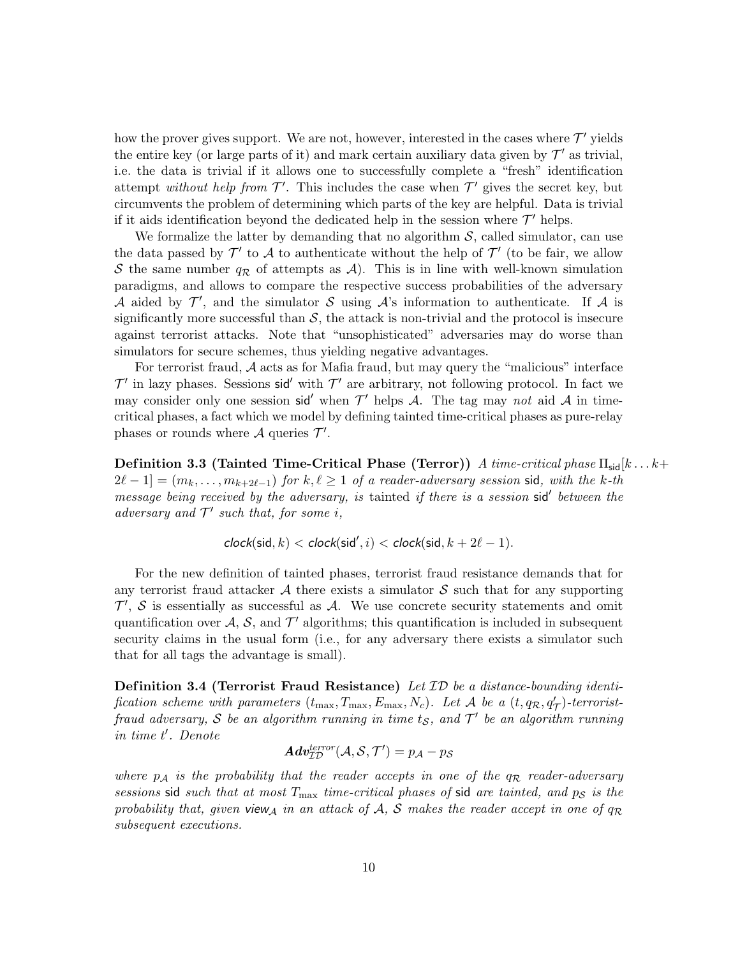how the prover gives support. We are not, however, interested in the cases where  $\mathcal{T}'$  yields the entire key (or large parts of it) and mark certain auxiliary data given by  $\mathcal{T}'$  as trivial, i.e. the data is trivial if it allows one to successfully complete a "fresh" identification attempt without help from  $\mathcal{T}'$ . This includes the case when  $\mathcal{T}'$  gives the secret key, but circumvents the problem of determining which parts of the key are helpful. Data is trivial if it aids identification beyond the dedicated help in the session where  $\mathcal{T}'$  helps.

We formalize the latter by demanding that no algorithm  $S$ , called simulator, can use the data passed by  $\mathcal{T}'$  to  $\mathcal A$  to authenticate without the help of  $\mathcal{T}'$  (to be fair, we allow S the same number  $q_R$  of attempts as A). This is in line with well-known simulation paradigms, and allows to compare the respective success probabilities of the adversary A aided by  $\mathcal{T}'$ , and the simulator S using A's information to authenticate. If A is significantly more successful than  $S$ , the attack is non-trivial and the protocol is insecure against terrorist attacks. Note that "unsophisticated" adversaries may do worse than simulators for secure schemes, thus yielding negative advantages.

For terrorist fraud,  $A$  acts as for Mafia fraud, but may query the "malicious" interface  $\mathcal{T}'$  in lazy phases. Sessions sid' with  $\mathcal{T}'$  are arbitrary, not following protocol. In fact we may consider only one session sid' when  $\mathcal{T}'$  helps  $\mathcal{A}$ . The tag may not aid  $\mathcal{A}$  in timecritical phases, a fact which we model by defining tainted time-critical phases as pure-relay phases or rounds where  $A$  queries  $T'$ .

Definition 3.3 (Tainted Time-Critical Phase (Terror)) A time-critical phase  $\Pi_{\text{sid}}[k \dots k+1]$  $2\ell - 1 = (m_k, \ldots, m_{k+2\ell-1})$  for  $k, \ell \geq 1$  of a reader-adversary session sid, with the k-th message being received by the adversary, is tainted if there is a session sid' between the adversary and  $\mathcal{T}'$  such that, for some i,

$$
\mathit{clock}(\mathsf{sid}, k) < \mathit{clock}(\mathsf{sid}', i) < \mathit{clock}(\mathsf{sid}, k + 2\ell - 1).
$$

For the new definition of tainted phases, terrorist fraud resistance demands that for any terrorist fraud attacker  $A$  there exists a simulator  $S$  such that for any supporting  $\mathcal{T}'$ ,  $\mathcal{S}$  is essentially as successful as  $\mathcal{A}$ . We use concrete security statements and omit quantification over  $A, S$ , and  $T'$  algorithms; this quantification is included in subsequent security claims in the usual form (i.e., for any adversary there exists a simulator such that for all tags the advantage is small).

**Definition 3.4 (Terrorist Fraud Resistance)** Let  $ID$  be a distance-bounding identification scheme with parameters  $(t_{\text{max}}, T_{\text{max}}, E_{\text{max}}, N_c)$ . Let A be a  $(t, q_{\mathcal{R}}, q_{\mathcal{T}}')$ -terroristfraud adversary, S be an algorithm running in time  $t_{\mathcal{S}}$ , and  $\mathcal{T}'$  be an algorithm running in time t'. Denote

$$
\boldsymbol{Adv}_{\mathcal{ID}}^{terror}(\mathcal{A}, \mathcal{S}, \mathcal{T}') = p_{\mathcal{A}} - p_{\mathcal{S}}
$$

where  $p_A$  is the probability that the reader accepts in one of the  $q_R$  reader-adversary sessions sid such that at most  $T_{\text{max}}$  time-critical phases of sid are tainted, and ps is the probability that, given view<sub>A</sub> in an attack of A, S makes the reader accept in one of  $q_{\mathcal{R}}$ subsequent executions.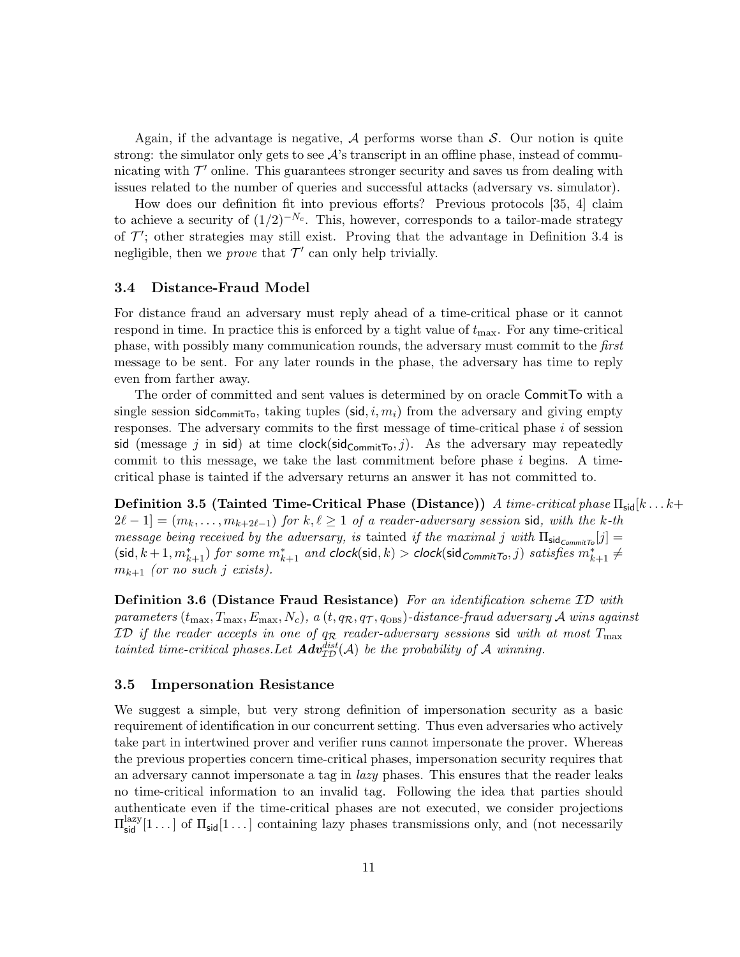Again, if the advantage is negative,  $A$  performs worse than S. Our notion is quite strong: the simulator only gets to see  $\mathcal{A}$ 's transcript in an offline phase, instead of communicating with  $\mathcal{T}'$  online. This guarantees stronger security and saves us from dealing with issues related to the number of queries and successful attacks (adversary vs. simulator).

How does our definition fit into previous efforts? Previous protocols [35, 4] claim to achieve a security of  $(1/2)^{-N_c}$ . This, however, corresponds to a tailor-made strategy of  $\mathcal{T}'$ ; other strategies may still exist. Proving that the advantage in Definition 3.4 is negligible, then we *prove* that  $\mathcal{T}'$  can only help trivially.

#### 3.4 Distance-Fraud Model

For distance fraud an adversary must reply ahead of a time-critical phase or it cannot respond in time. In practice this is enforced by a tight value of  $t_{\text{max}}$ . For any time-critical phase, with possibly many communication rounds, the adversary must commit to the first message to be sent. For any later rounds in the phase, the adversary has time to reply even from farther away.

The order of committed and sent values is determined by on oracle CommitTo with a single session sid<sub>CommitTo</sub>, taking tuples (sid, i,  $m_i$ ) from the adversary and giving empty responses. The adversary commits to the first message of time-critical phase i of session sid (message j in sid) at time  $clock(side_{CommitTo}, j)$ . As the adversary may repeatedly commit to this message, we take the last commitment before phase  $i$  begins. A timecritical phase is tainted if the adversary returns an answer it has not committed to.

Definition 3.5 (Tainted Time-Critical Phase (Distance)) A time-critical phase  $\Pi_{\text{sid}}[k \dots k+1]$  $2\ell - 1 = (m_k, \ldots, m_{k+2\ell-1})$  for  $k, \ell \geq 1$  of a reader-adversary session sid, with the k-th message being received by the adversary, is tainted if the maximal j with  $\Pi_{\text{sid}_{\text{Commit}\bar{D}}}[j] =$  $(\textsf{sid}, k+1, m^*_{k+1})$  for some  $m^*_{k+1}$  and  $\textsf{clock}(\textsf{sid}, k) > \textsf{clock}(\textsf{sid}_{\textsf{CommitTo}}, j)$  satisfies  $m^*_{k+1} \neq j$  $m_{k+1}$  (or no such j exists).

**Definition 3.6 (Distance Fraud Resistance)** For an identification scheme ID with parameters  $(t_{\text{max}}, T_{\text{max}}, E_{\text{max}}, N_c)$ , a  $(t, q_{\mathcal{R}}, q_{\mathcal{T}}, q_{\text{OBS}})$ -distance-fraud adversary A wins against ID if the reader accepts in one of  $q_{\mathcal{R}}$  reader-adversary sessions sid with at most  $T_{\text{max}}$ tainted time-critical phases. Let  $\pmb{Adv}_{\mathcal{ID}}^{dist}(\mathcal{A})$  be the probability of  $\mathcal A$  winning.

#### 3.5 Impersonation Resistance

We suggest a simple, but very strong definition of impersonation security as a basic requirement of identification in our concurrent setting. Thus even adversaries who actively take part in intertwined prover and verifier runs cannot impersonate the prover. Whereas the previous properties concern time-critical phases, impersonation security requires that an adversary cannot impersonate a tag in lazy phases. This ensures that the reader leaks no time-critical information to an invalid tag. Following the idea that parties should authenticate even if the time-critical phases are not executed, we consider projections  $\Pi_{\sf sid}^{\sf lazy}[1\ldots]$  of  $\Pi_{\sf sid}[1\ldots]$  containing lazy phases transmissions only, and (not necessarily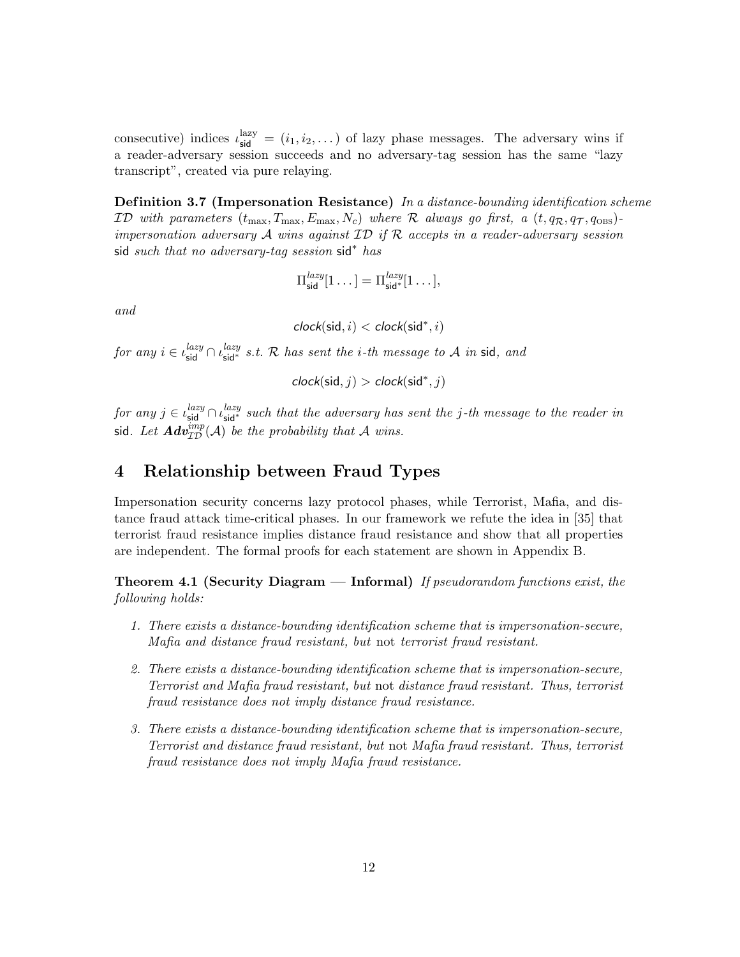consecutive) indices  $\iota_{\text{sid}}^{\text{lazy}} = (i_1, i_2, \dots)$  of lazy phase messages. The adversary wins if a reader-adversary session succeeds and no adversary-tag session has the same "lazy transcript", created via pure relaying.

**Definition 3.7 (Impersonation Resistance)** In a distance-bounding identification scheme ID with parameters  $(t_{\text{max}}, T_{\text{max}}, E_{\text{max}}, N_c)$  where R always go first, a  $(t, q_R, q_T, q_{\text{obs}})$ impersonation adversary  $\mathcal A$  wins against  $\mathcal{ID}$  if  $\mathcal R$  accepts in a reader-adversary session sid such that no adversary-tag session sid<sup>\*</sup> has

$$
\Pi_{\mathsf{sid}}^{\mathit{lazy}}[1 \dots] = \Pi_{\mathsf{sid}}^{\mathit{lazy}}[1 \dots],
$$

and

 $clock(side, i) < clock(side^*, i)$ 

for any  $i \in \iota_{\textsf{sid}}^{lazy} \cap \iota_{\textsf{sid}}^{lazy}$  s.t. R has sent the *i*-th message to A in sid, and

$$
\mathit{clock}(\mathsf{sid}, j) > \mathit{clock}(\mathsf{sid}^*, j)
$$

for any  $j \in \iota_{\mathsf{sid}}^{lazy} \cap \iota_{\mathsf{sid}}^{lazy}$  such that the adversary has sent the j-th message to the reader in sid. Let  $\boldsymbol{Adv}_{\mathcal{ID}}^{imp}(\mathcal{A})$  be the probability that  $\mathcal A$  wins.

# 4 Relationship between Fraud Types

Impersonation security concerns lazy protocol phases, while Terrorist, Mafia, and distance fraud attack time-critical phases. In our framework we refute the idea in [35] that terrorist fraud resistance implies distance fraud resistance and show that all properties are independent. The formal proofs for each statement are shown in Appendix B.

**Theorem 4.1 (Security Diagram — Informal)** If pseudorandom functions exist, the following holds:

- 1. There exists a distance-bounding identification scheme that is impersonation-secure, Mafia and distance fraud resistant, but not terrorist fraud resistant.
- 2. There exists a distance-bounding identification scheme that is impersonation-secure, Terrorist and Mafia fraud resistant, but not distance fraud resistant. Thus, terrorist fraud resistance does not imply distance fraud resistance.
- 3. There exists a distance-bounding identification scheme that is impersonation-secure, Terrorist and distance fraud resistant, but not Mafia fraud resistant. Thus, terrorist fraud resistance does not imply Mafia fraud resistance.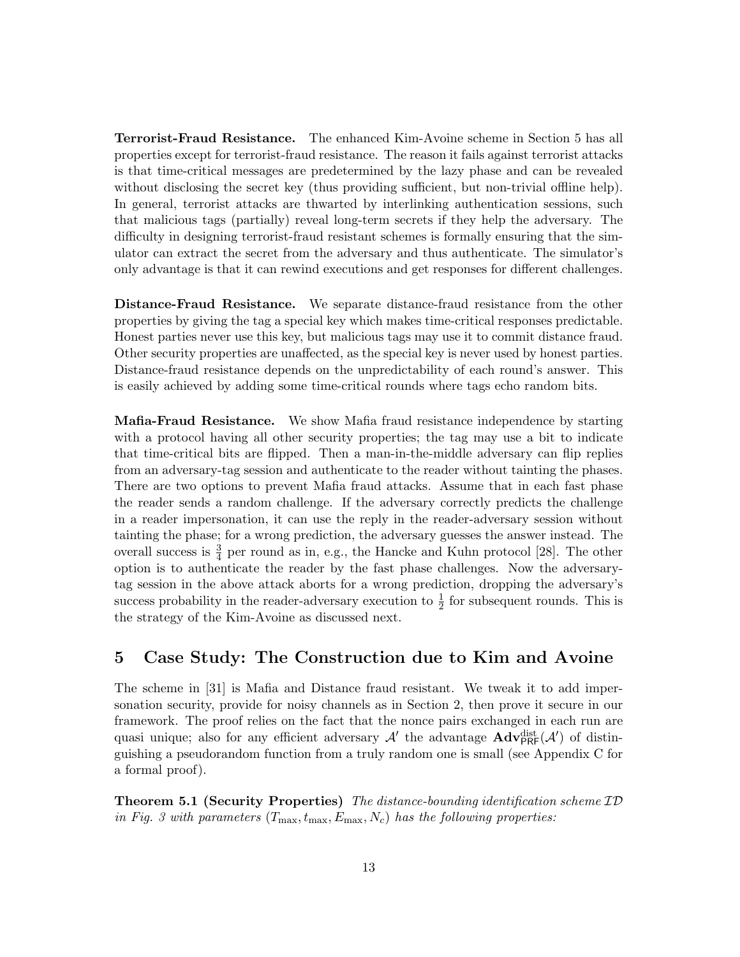Terrorist-Fraud Resistance. The enhanced Kim-Avoine scheme in Section 5 has all properties except for terrorist-fraud resistance. The reason it fails against terrorist attacks is that time-critical messages are predetermined by the lazy phase and can be revealed without disclosing the secret key (thus providing sufficient, but non-trivial offline help). In general, terrorist attacks are thwarted by interlinking authentication sessions, such that malicious tags (partially) reveal long-term secrets if they help the adversary. The difficulty in designing terrorist-fraud resistant schemes is formally ensuring that the simulator can extract the secret from the adversary and thus authenticate. The simulator's only advantage is that it can rewind executions and get responses for different challenges.

Distance-Fraud Resistance. We separate distance-fraud resistance from the other properties by giving the tag a special key which makes time-critical responses predictable. Honest parties never use this key, but malicious tags may use it to commit distance fraud. Other security properties are unaffected, as the special key is never used by honest parties. Distance-fraud resistance depends on the unpredictability of each round's answer. This is easily achieved by adding some time-critical rounds where tags echo random bits.

Mafia-Fraud Resistance. We show Mafia fraud resistance independence by starting with a protocol having all other security properties; the tag may use a bit to indicate that time-critical bits are flipped. Then a man-in-the-middle adversary can flip replies from an adversary-tag session and authenticate to the reader without tainting the phases. There are two options to prevent Mafia fraud attacks. Assume that in each fast phase the reader sends a random challenge. If the adversary correctly predicts the challenge in a reader impersonation, it can use the reply in the reader-adversary session without tainting the phase; for a wrong prediction, the adversary guesses the answer instead. The overall success is  $\frac{3}{4}$  per round as in, e.g., the Hancke and Kuhn protocol [28]. The other option is to authenticate the reader by the fast phase challenges. Now the adversarytag session in the above attack aborts for a wrong prediction, dropping the adversary's success probability in the reader-adversary execution to  $\frac{1}{2}$  for subsequent rounds. This is the strategy of the Kim-Avoine as discussed next.

# 5 Case Study: The Construction due to Kim and Avoine

The scheme in [31] is Mafia and Distance fraud resistant. We tweak it to add impersonation security, provide for noisy channels as in Section 2, then prove it secure in our framework. The proof relies on the fact that the nonce pairs exchanged in each run are quasi unique; also for any efficient adversary  $\mathcal{A}'$  the advantage  $\text{Adv}_{PRF}^{\text{dist}}(\mathcal{A}')$  of distinguishing a pseudorandom function from a truly random one is small (see Appendix C for a formal proof).

**Theorem 5.1 (Security Properties)** The distance-bounding identification scheme ID in Fig. 3 with parameters  $(T_{\text{max}}, t_{\text{max}}, E_{\text{max}}, N_c)$  has the following properties: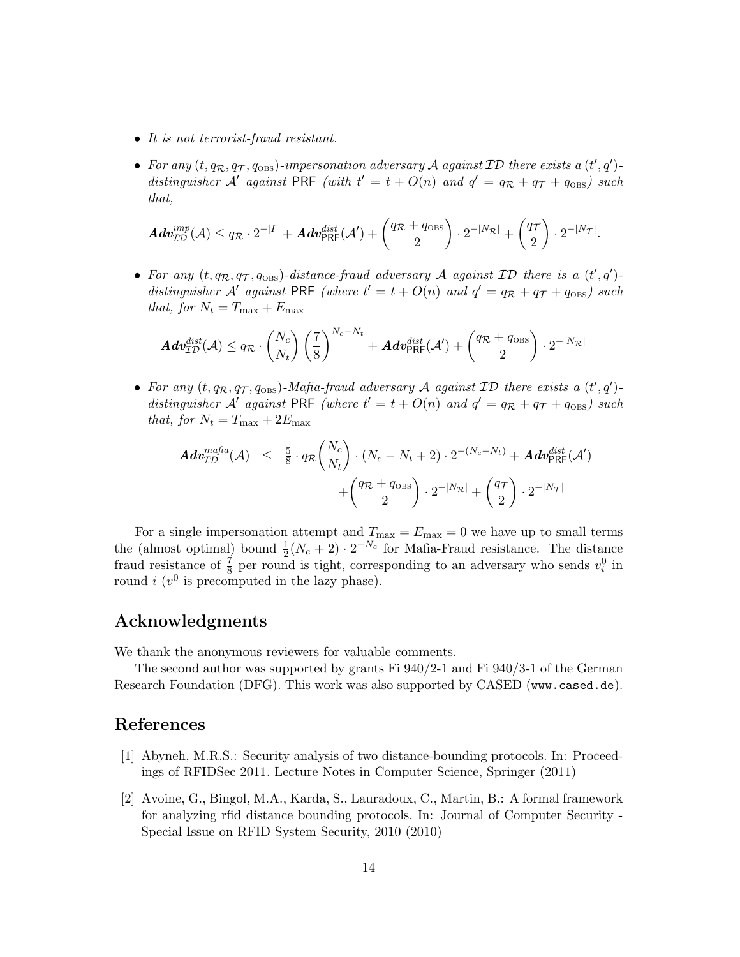- It is not terrorist-fraud resistant.
- For any  $(t, q<sub>R</sub>, q<sub>T</sub>, q<sub>0BS</sub>)$ -impersonation adversary A against ID there exists a  $(t', q')$ distinguisher  $A'$  against PRF (with  $t' = t + O(n)$  and  $q' = q_R + q_T + q_{\text{obs}}$ ) such that,

$$
\boldsymbol{Adv}_{\mathcal{ID}}^{imp}(\mathcal{A}) \leq q_{\mathcal{R}} \cdot 2^{-|I|} + \boldsymbol{Adv}_{\mathsf{PRF}}^{dist}(\mathcal{A}') + \binom{q_{\mathcal{R}}+q_{\mathrm{OBS}}}{2} \cdot 2^{-|N_{\mathcal{R}}|} + \binom{q_{\mathcal{T}}}{2} \cdot 2^{-|N_{\mathcal{T}}|}.
$$

• For any  $(t, q_{\mathcal{R}}, q_{\mathcal{T}}, q_{\text{OBS}})$ -distance-fraud adversary A against ID there is a  $(t', q')$ distinguisher A' against PRF (where  $t' = t + O(n)$  and  $q' = q_R + q_T + q_{\text{obs}}$ ) such that, for  $N_t = T_{\text{max}} + E_{\text{max}}$ 

$$
\boldsymbol{Adv}_{\mathcal{ID}}^{dist}(\mathcal{A}) \leq q_{\mathcal{R}} \cdot {N_c \choose N_t} \left(\frac{7}{8}\right)^{N_c-N_t} + \boldsymbol{Adv}_{\mathsf{PRF}}^{dist}(\mathcal{A}') + {q_{\mathcal{R}} + q_{\mathrm{OBS}} \choose 2} \cdot 2^{-|N_{\mathcal{R}}|}
$$

• For any  $(t, q<sub>R</sub>, q<sub>T</sub>, q<sub>obs</sub>)$ -Mafia-fraud adversary A against ID there exists a  $(t', q')$ distinguisher A' against PRF (where  $t' = t + O(n)$  and  $q' = q_R + q_T + q_{\text{obs}}$ ) such that, for  $N_t = T_{\text{max}} + 2E_{\text{max}}$ 

$$
Adv_{\mathcal{ID}}^{mafia}(\mathcal{A}) \leq \frac{5}{8} \cdot q_{\mathcal{R}} {N_c \choose N_t} \cdot (N_c - N_t + 2) \cdot 2^{-(N_c - N_t)} + Adv_{\mathsf{PRF}}^{dist}(\mathcal{A}') + {q_{\mathcal{R}} + q_{\mathsf{OBS}}} \cdot 2^{-|N_{\mathcal{R}}|} + {q_{\mathcal{T}} \choose 2} \cdot 2^{-|N_{\mathcal{T}}|}
$$

For a single impersonation attempt and  $T_{\text{max}} = E_{\text{max}} = 0$  we have up to small terms the (almost optimal) bound  $\frac{1}{2}(N_c + 2) \cdot 2^{-N_c}$  for Mafia-Fraud resistance. The distance fraud resistance of  $\frac{7}{8}$  per round is tight, corresponding to an adversary who sends  $v_i^0$  in round i  $(v^0)$  is precomputed in the lazy phase).

### Acknowledgments

We thank the anonymous reviewers for valuable comments.

The second author was supported by grants Fi 940/2-1 and Fi 940/3-1 of the German Research Foundation (DFG). This work was also supported by CASED (www.cased.de).

### References

- [1] Abyneh, M.R.S.: Security analysis of two distance-bounding protocols. In: Proceedings of RFIDSec 2011. Lecture Notes in Computer Science, Springer (2011)
- [2] Avoine, G., Bingol, M.A., Karda, S., Lauradoux, C., Martin, B.: A formal framework for analyzing rfid distance bounding protocols. In: Journal of Computer Security - Special Issue on RFID System Security, 2010 (2010)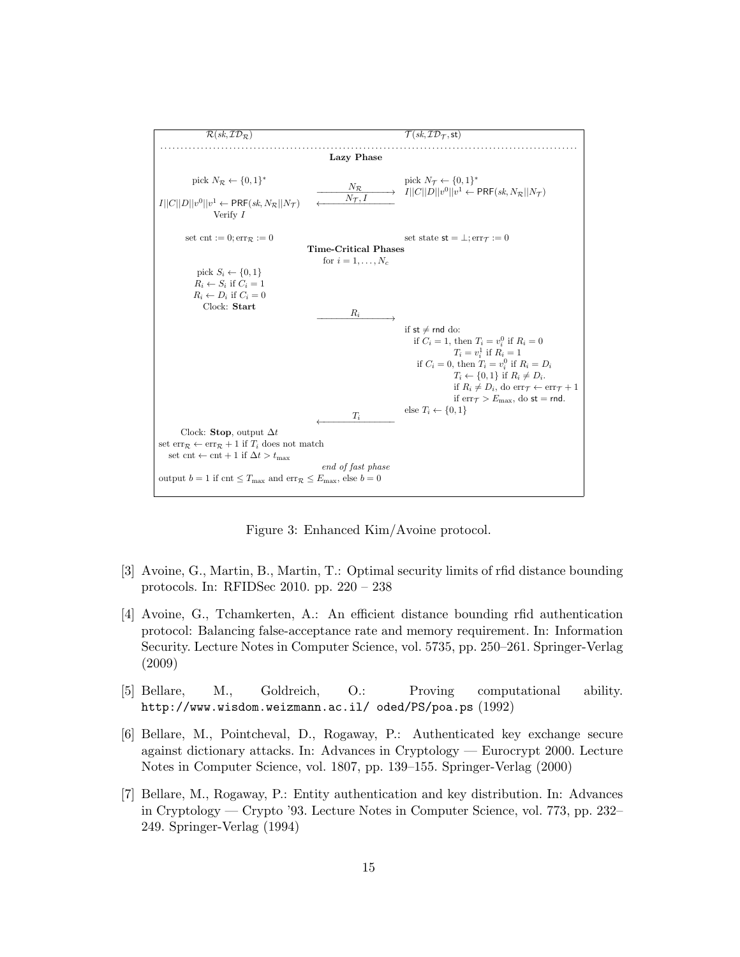

Figure 3: Enhanced Kim/Avoine protocol.

- [3] Avoine, G., Martin, B., Martin, T.: Optimal security limits of rfid distance bounding protocols. In: RFIDSec 2010. pp. 220 – 238
- [4] Avoine, G., Tchamkerten, A.: An efficient distance bounding rfid authentication protocol: Balancing false-acceptance rate and memory requirement. In: Information Security. Lecture Notes in Computer Science, vol. 5735, pp. 250–261. Springer-Verlag (2009)
- [5] Bellare, M., Goldreich, O.: Proving computational ability. http://www.wisdom.weizmann.ac.il/ oded/PS/poa.ps (1992)
- [6] Bellare, M., Pointcheval, D., Rogaway, P.: Authenticated key exchange secure against dictionary attacks. In: Advances in Cryptology — Eurocrypt 2000. Lecture Notes in Computer Science, vol. 1807, pp. 139–155. Springer-Verlag (2000)
- [7] Bellare, M., Rogaway, P.: Entity authentication and key distribution. In: Advances in Cryptology — Crypto '93. Lecture Notes in Computer Science, vol. 773, pp. 232– 249. Springer-Verlag (1994)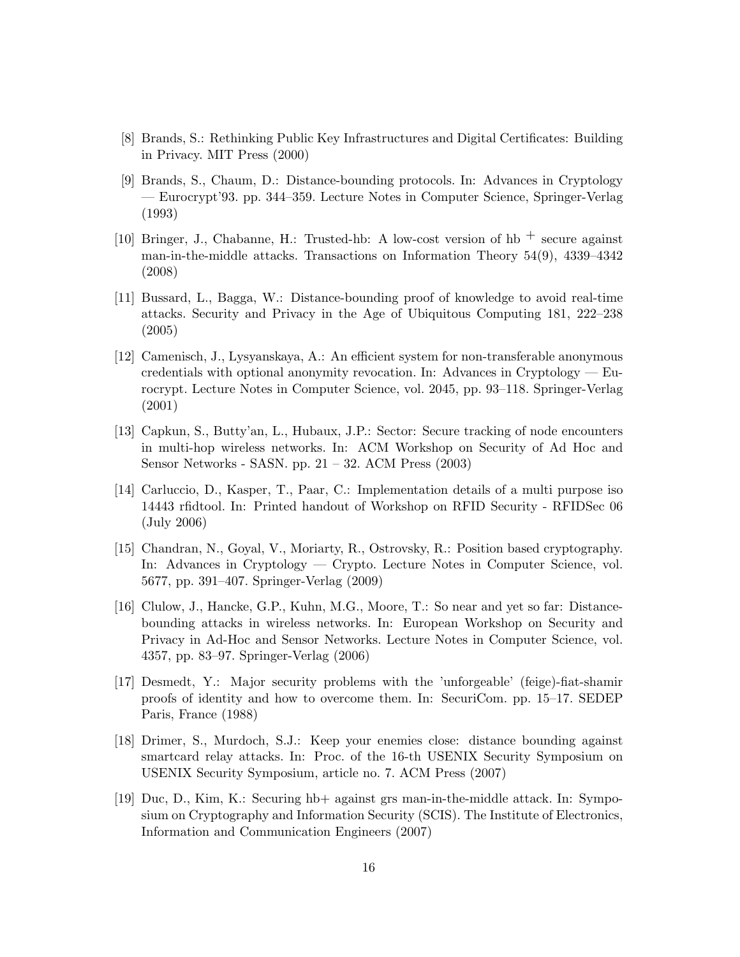- [8] Brands, S.: Rethinking Public Key Infrastructures and Digital Certificates: Building in Privacy. MIT Press (2000)
- [9] Brands, S., Chaum, D.: Distance-bounding protocols. In: Advances in Cryptology — Eurocrypt'93. pp. 344–359. Lecture Notes in Computer Science, Springer-Verlag (1993)
- [10] Bringer, J., Chabanne, H.: Trusted-hb: A low-cost version of hb  $^+$  secure against man-in-the-middle attacks. Transactions on Information Theory 54(9), 4339–4342 (2008)
- [11] Bussard, L., Bagga, W.: Distance-bounding proof of knowledge to avoid real-time attacks. Security and Privacy in the Age of Ubiquitous Computing 181, 222–238 (2005)
- [12] Camenisch, J., Lysyanskaya, A.: An efficient system for non-transferable anonymous credentials with optional anonymity revocation. In: Advances in Cryptology — Eurocrypt. Lecture Notes in Computer Science, vol. 2045, pp. 93–118. Springer-Verlag (2001)
- [13] Capkun, S., Butty'an, L., Hubaux, J.P.: Sector: Secure tracking of node encounters in multi-hop wireless networks. In: ACM Workshop on Security of Ad Hoc and Sensor Networks - SASN. pp. 21 – 32. ACM Press (2003)
- [14] Carluccio, D., Kasper, T., Paar, C.: Implementation details of a multi purpose iso 14443 rfidtool. In: Printed handout of Workshop on RFID Security - RFIDSec 06 (July 2006)
- [15] Chandran, N., Goyal, V., Moriarty, R., Ostrovsky, R.: Position based cryptography. In: Advances in Cryptology — Crypto. Lecture Notes in Computer Science, vol. 5677, pp. 391–407. Springer-Verlag (2009)
- [16] Clulow, J., Hancke, G.P., Kuhn, M.G., Moore, T.: So near and yet so far: Distancebounding attacks in wireless networks. In: European Workshop on Security and Privacy in Ad-Hoc and Sensor Networks. Lecture Notes in Computer Science, vol. 4357, pp. 83–97. Springer-Verlag (2006)
- [17] Desmedt, Y.: Major security problems with the 'unforgeable' (feige)-fiat-shamir proofs of identity and how to overcome them. In: SecuriCom. pp. 15–17. SEDEP Paris, France (1988)
- [18] Drimer, S., Murdoch, S.J.: Keep your enemies close: distance bounding against smartcard relay attacks. In: Proc. of the 16-th USENIX Security Symposium on USENIX Security Symposium, article no. 7. ACM Press (2007)
- [19] Duc, D., Kim, K.: Securing hb+ against grs man-in-the-middle attack. In: Symposium on Cryptography and Information Security (SCIS). The Institute of Electronics, Information and Communication Engineers (2007)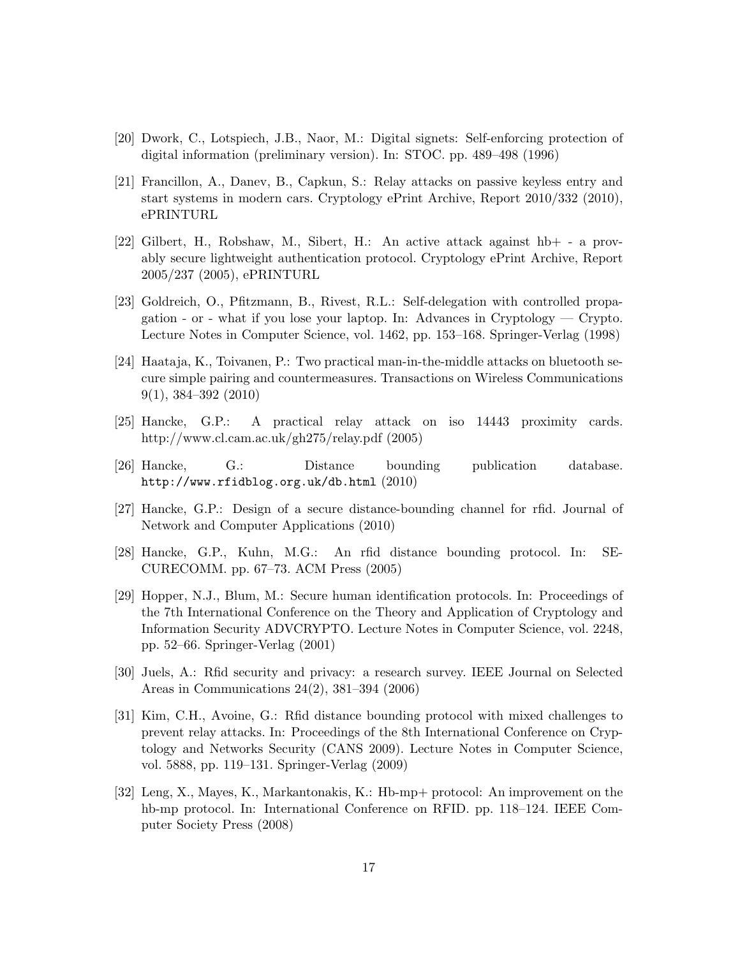- [20] Dwork, C., Lotspiech, J.B., Naor, M.: Digital signets: Self-enforcing protection of digital information (preliminary version). In: STOC. pp. 489–498 (1996)
- [21] Francillon, A., Danev, B., Capkun, S.: Relay attacks on passive keyless entry and start systems in modern cars. Cryptology ePrint Archive, Report 2010/332 (2010), ePRINTURL
- [22] Gilbert, H., Robshaw, M., Sibert, H.: An active attack against hb+ a provably secure lightweight authentication protocol. Cryptology ePrint Archive, Report 2005/237 (2005), ePRINTURL
- [23] Goldreich, O., Pfitzmann, B., Rivest, R.L.: Self-delegation with controlled propagation - or - what if you lose your laptop. In: Advances in Cryptology — Crypto. Lecture Notes in Computer Science, vol. 1462, pp. 153–168. Springer-Verlag (1998)
- [24] Haataja, K., Toivanen, P.: Two practical man-in-the-middle attacks on bluetooth secure simple pairing and countermeasures. Transactions on Wireless Communications 9(1), 384–392 (2010)
- [25] Hancke, G.P.: A practical relay attack on iso 14443 proximity cards. http://www.cl.cam.ac.uk/gh275/relay.pdf (2005)
- [26] Hancke, G.: Distance bounding publication database. http://www.rfidblog.org.uk/db.html (2010)
- [27] Hancke, G.P.: Design of a secure distance-bounding channel for rfid. Journal of Network and Computer Applications (2010)
- [28] Hancke, G.P., Kuhn, M.G.: An rfid distance bounding protocol. In: SE-CURECOMM. pp. 67–73. ACM Press (2005)
- [29] Hopper, N.J., Blum, M.: Secure human identification protocols. In: Proceedings of the 7th International Conference on the Theory and Application of Cryptology and Information Security ADVCRYPTO. Lecture Notes in Computer Science, vol. 2248, pp. 52–66. Springer-Verlag (2001)
- [30] Juels, A.: Rfid security and privacy: a research survey. IEEE Journal on Selected Areas in Communications 24(2), 381–394 (2006)
- [31] Kim, C.H., Avoine, G.: Rfid distance bounding protocol with mixed challenges to prevent relay attacks. In: Proceedings of the 8th International Conference on Cryptology and Networks Security (CANS 2009). Lecture Notes in Computer Science, vol. 5888, pp. 119–131. Springer-Verlag (2009)
- [32] Leng, X., Mayes, K., Markantonakis, K.: Hb-mp+ protocol: An improvement on the hb-mp protocol. In: International Conference on RFID. pp. 118–124. IEEE Computer Society Press (2008)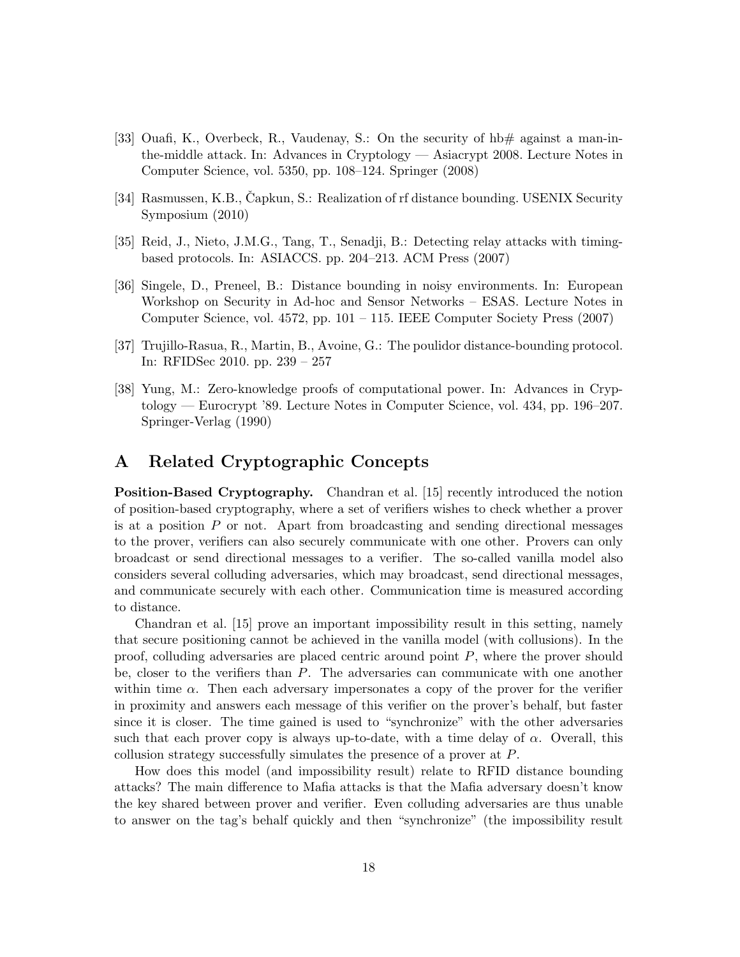- [33] Ouafi, K., Overbeck, R., Vaudenay, S.: On the security of hb# against a man-inthe-middle attack. In: Advances in Cryptology — Asiacrypt 2008. Lecture Notes in Computer Science, vol. 5350, pp. 108–124. Springer (2008)
- [34] Rasmussen, K.B., Capkun, S.: Realization of rf distance bounding. USENIX Security Symposium (2010)
- [35] Reid, J., Nieto, J.M.G., Tang, T., Senadji, B.: Detecting relay attacks with timingbased protocols. In: ASIACCS. pp. 204–213. ACM Press (2007)
- [36] Singele, D., Preneel, B.: Distance bounding in noisy environments. In: European Workshop on Security in Ad-hoc and Sensor Networks – ESAS. Lecture Notes in Computer Science, vol. 4572, pp. 101 – 115. IEEE Computer Society Press (2007)
- [37] Trujillo-Rasua, R., Martin, B., Avoine, G.: The poulidor distance-bounding protocol. In: RFIDSec 2010. pp. 239 – 257
- [38] Yung, M.: Zero-knowledge proofs of computational power. In: Advances in Cryptology — Eurocrypt '89. Lecture Notes in Computer Science, vol. 434, pp. 196–207. Springer-Verlag (1990)

# A Related Cryptographic Concepts

Position-Based Cryptography. Chandran et al. [15] recently introduced the notion of position-based cryptography, where a set of verifiers wishes to check whether a prover is at a position  $P$  or not. Apart from broadcasting and sending directional messages to the prover, verifiers can also securely communicate with one other. Provers can only broadcast or send directional messages to a verifier. The so-called vanilla model also considers several colluding adversaries, which may broadcast, send directional messages, and communicate securely with each other. Communication time is measured according to distance.

Chandran et al. [15] prove an important impossibility result in this setting, namely that secure positioning cannot be achieved in the vanilla model (with collusions). In the proof, colluding adversaries are placed centric around point P, where the prover should be, closer to the verifiers than P. The adversaries can communicate with one another within time  $\alpha$ . Then each adversary impersonates a copy of the prover for the verifier in proximity and answers each message of this verifier on the prover's behalf, but faster since it is closer. The time gained is used to "synchronize" with the other adversaries such that each prover copy is always up-to-date, with a time delay of  $\alpha$ . Overall, this collusion strategy successfully simulates the presence of a prover at P.

How does this model (and impossibility result) relate to RFID distance bounding attacks? The main difference to Mafia attacks is that the Mafia adversary doesn't know the key shared between prover and verifier. Even colluding adversaries are thus unable to answer on the tag's behalf quickly and then "synchronize" (the impossibility result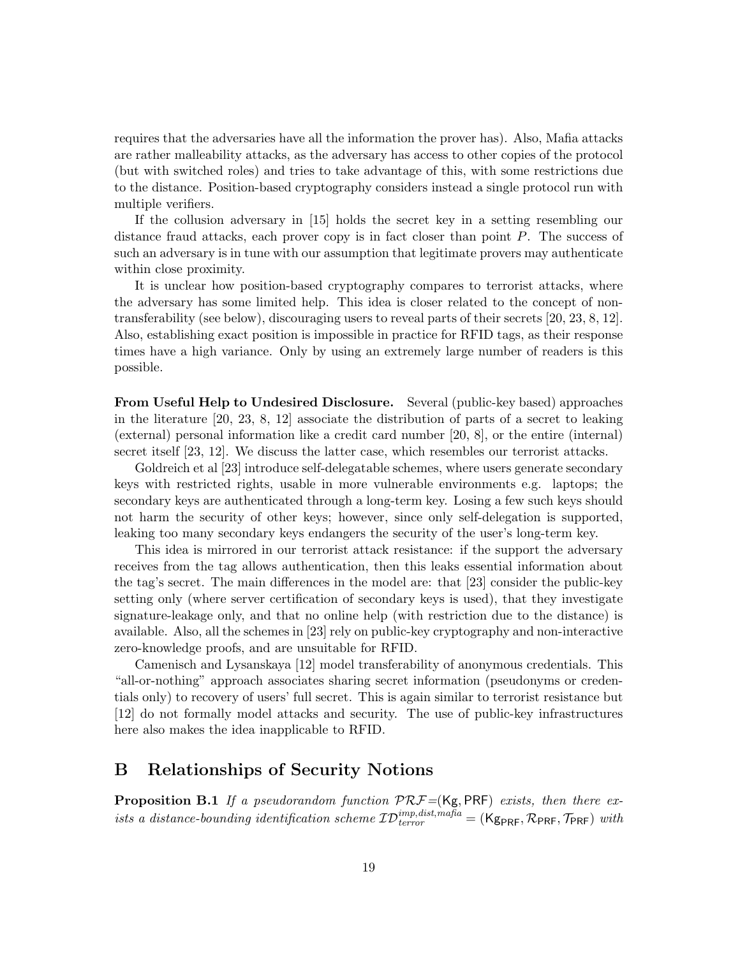requires that the adversaries have all the information the prover has). Also, Mafia attacks are rather malleability attacks, as the adversary has access to other copies of the protocol (but with switched roles) and tries to take advantage of this, with some restrictions due to the distance. Position-based cryptography considers instead a single protocol run with multiple verifiers.

If the collusion adversary in [15] holds the secret key in a setting resembling our distance fraud attacks, each prover copy is in fact closer than point P. The success of such an adversary is in tune with our assumption that legitimate provers may authenticate within close proximity.

It is unclear how position-based cryptography compares to terrorist attacks, where the adversary has some limited help. This idea is closer related to the concept of nontransferability (see below), discouraging users to reveal parts of their secrets [20, 23, 8, 12]. Also, establishing exact position is impossible in practice for RFID tags, as their response times have a high variance. Only by using an extremely large number of readers is this possible.

From Useful Help to Undesired Disclosure. Several (public-key based) approaches in the literature [20, 23, 8, 12] associate the distribution of parts of a secret to leaking (external) personal information like a credit card number [20, 8], or the entire (internal) secret itself [23, 12]. We discuss the latter case, which resembles our terrorist attacks.

Goldreich et al [23] introduce self-delegatable schemes, where users generate secondary keys with restricted rights, usable in more vulnerable environments e.g. laptops; the secondary keys are authenticated through a long-term key. Losing a few such keys should not harm the security of other keys; however, since only self-delegation is supported, leaking too many secondary keys endangers the security of the user's long-term key.

This idea is mirrored in our terrorist attack resistance: if the support the adversary receives from the tag allows authentication, then this leaks essential information about the tag's secret. The main differences in the model are: that [23] consider the public-key setting only (where server certification of secondary keys is used), that they investigate signature-leakage only, and that no online help (with restriction due to the distance) is available. Also, all the schemes in [23] rely on public-key cryptography and non-interactive zero-knowledge proofs, and are unsuitable for RFID.

Camenisch and Lysanskaya [12] model transferability of anonymous credentials. This "all-or-nothing" approach associates sharing secret information (pseudonyms or credentials only) to recovery of users' full secret. This is again similar to terrorist resistance but [12] do not formally model attacks and security. The use of public-key infrastructures here also makes the idea inapplicable to RFID.

# B Relationships of Security Notions

**Proposition B.1** If a pseudorandom function  $\mathcal{PRF} = (Kg, PRF)$  exists, then there exists a distance-bounding identification scheme  $\mathcal{ID}_{\text{terror}}^{\text{imp,dist},\text{mafa}} = (Kg_{\text{PRF}}, \mathcal{R}_{\text{PRF}}, \mathcal{T}_{\text{PRF}})$  with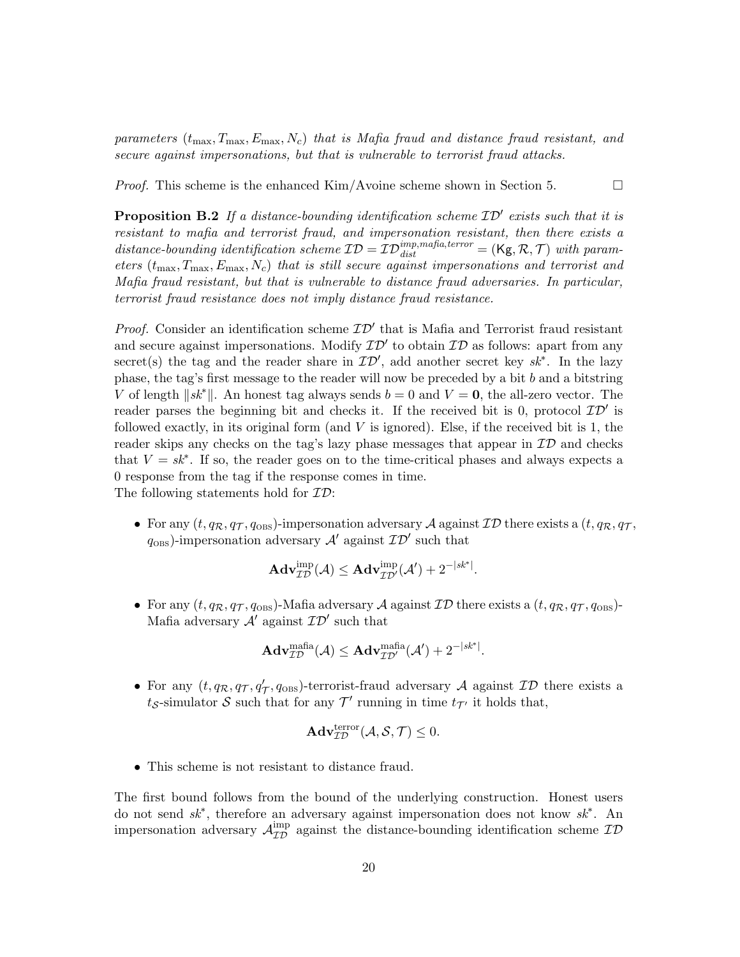parameters  $(t_{\text{max}}, T_{\text{max}}, E_{\text{max}}, N_c)$  that is Mafia fraud and distance fraud resistant, and secure against impersonations, but that is vulnerable to terrorist fraud attacks.

*Proof.* This scheme is the enhanced Kim/Avoine scheme shown in Section 5.  $\Box$ 

**Proposition B.2** If a distance-bounding identification scheme  $\mathcal{ID}'$  exists such that it is resistant to mafia and terrorist fraud, and impersonation resistant, then there exists a distance-bounding identification scheme  $ID = ID_{dist}^{imp,mafia,terror} = (Kg, R, T)$  with parameters  $(t_{\text{max}}, T_{\text{max}}, E_{\text{max}}, N_c)$  that is still secure against impersonations and terrorist and Mafia fraud resistant, but that is vulnerable to distance fraud adversaries. In particular, terrorist fraud resistance does not imply distance fraud resistance.

*Proof.* Consider an identification scheme  $\mathcal{ID}'$  that is Mafia and Terrorist fraud resistant and secure against impersonations. Modify  $\mathcal{ID}'$  to obtain  $\mathcal{ID}$  as follows: apart from any secret(s) the tag and the reader share in  $\mathcal{ID}'$ , add another secret key sk<sup>\*</sup>. In the lazy phase, the tag's first message to the reader will now be preceded by a bit  $b$  and a bitstring V of length  $||sk^*||$ . An honest tag always sends  $b = 0$  and  $V = 0$ , the all-zero vector. The reader parses the beginning bit and checks it. If the received bit is 0, protocol  $\mathcal{ID}'$  is followed exactly, in its original form (and  $V$  is ignored). Else, if the received bit is 1, the reader skips any checks on the tag's lazy phase messages that appear in  $ID$  and checks that  $V = sk^*$ . If so, the reader goes on to the time-critical phases and always expects a 0 response from the tag if the response comes in time. The following statements hold for  $ID$ :

• For any  $(t, q_{\mathcal{R}}, q_{\mathcal{T}}, q_{\text{OBS}})$ -impersonation adversary A against  $\mathcal{ID}$  there exists a  $(t, q_{\mathcal{R}}, q_{\mathcal{T}}, q_{\mathcal{T}})$  $q_{\text{obs}}$ )-impersonation adversary  $\mathcal{A}'$  against  $\mathcal{ID}'$  such that

$$
\mathbf{Adv}^{\mathrm{imp}}_{\mathcal{ID}}(\mathcal{A}) \leq \mathbf{Adv}^{\mathrm{imp}}_{\mathcal{ID}'}(\mathcal{A}') + 2^{-|sk^*|}.
$$

• For any  $(t, q<sub>R</sub>, q<sub>T</sub>, q<sub>0BS</sub>)$ -Mafia adversary A against  $ID$  there exists a  $(t, q<sub>R</sub>, q<sub>T</sub>, q<sub>0BS</sub>)$ -Mafia adversary  $\mathcal{A}'$  against  $\mathcal{ID}'$  such that

$$
\mathbf{Adv}_{\mathcal{ID}}^{\mathrm{mafia}}(\mathcal{A}) \leq \mathbf{Adv}_{\mathcal{ID}'}^{\mathrm{mafia}}(\mathcal{A}') + 2^{-|sk^*|}.
$$

• For any  $(t, q_{\mathcal{R}}, q_{\mathcal{T}}, q_{\mathcal{T}}, q_{\text{OBS}})$ -terrorist-fraud adversary A against  $\mathcal{ID}$  there exists a  $t_{\mathcal{S}}$ -simulator  $\mathcal S$  such that for any  $\mathcal T'$  running in time  $t_{\mathcal{T}'}$  it holds that,

$$
\mathbf{Adv}_{\mathcal{ID}}^{\text{terror}}(\mathcal{A}, \mathcal{S}, \mathcal{T}) \leq 0.
$$

• This scheme is not resistant to distance fraud.

The first bound follows from the bound of the underlying construction. Honest users do not send sk<sup>\*</sup>, therefore an adversary against impersonation does not know sk<sup>\*</sup>. An impersonation adversary  $\mathcal{A}_{ID}^{imp}$  against the distance-bounding identification scheme  $ID$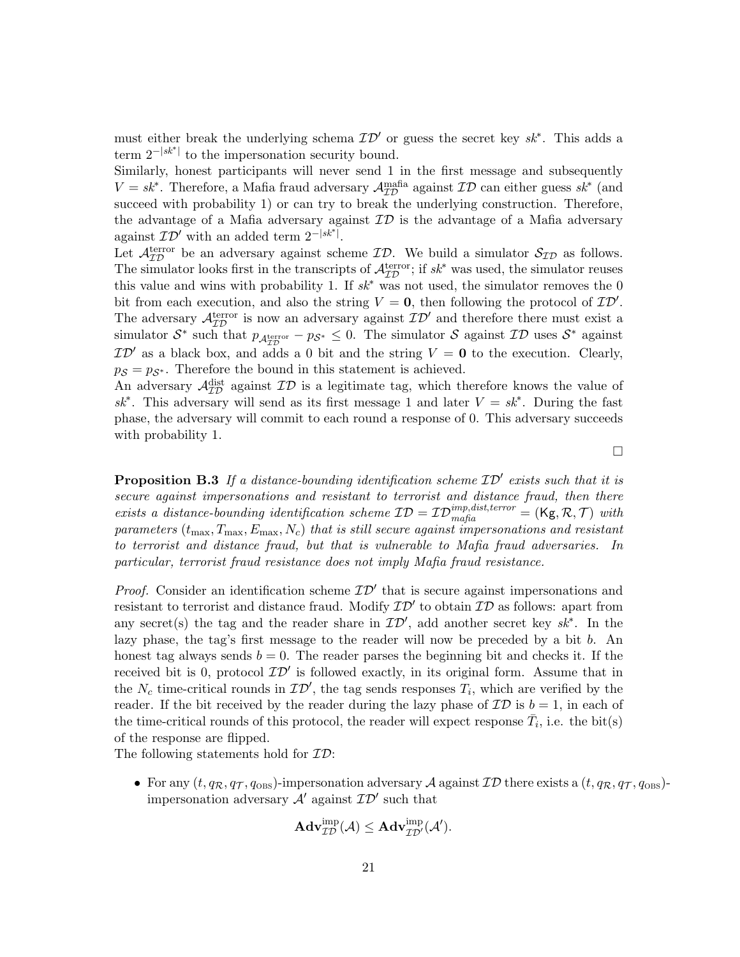must either break the underlying schema  $\mathcal{ID}'$  or guess the secret key  $sk^*$ . This adds a term  $2^{-|sk^*|}$  to the impersonation security bound.

Similarly, honest participants will never send 1 in the first message and subsequently  $V = sk^*$ . Therefore, a Mafia fraud adversary  $\mathcal{A}_{ID}^{mafia}$  against  $ID$  can either guess  $sk^*$  (and succeed with probability 1) or can try to break the underlying construction. Therefore, the advantage of a Mafia adversary against  $\mathcal{ID}$  is the advantage of a Mafia adversary against  $\mathcal{ID}'$  with an added term  $2^{-|sk^*|}$ .

Let  $\mathcal{A}_{ID}^{\text{terror}}$  be an adversary against scheme  $ID$ . We build a simulator  $\mathcal{S}_{ID}$  as follows. The simulator looks first in the transcripts of  $\mathcal{A}_{ID}^{\text{terror}}$ ; if  $sk^*$  was used, the simulator reuses this value and wins with probability 1. If  $sk^*$  was not used, the simulator removes the 0 bit from each execution, and also the string  $V = 0$ , then following the protocol of  $\mathcal{ID}'$ . The adversary  $\mathcal{A}_{\mathcal{ID}}^{\text{terror}}$  is now an adversary against  $\mathcal{ID}'$  and therefore there must exist a simulator  $S^*$  such that  $p_{\mathcal{A}_{\mathcal{ID}}^{terror}} - p_{S^*} \leq 0$ . The simulator S against  $\mathcal{ID}$  uses  $S^*$  against  $\mathcal{ID}'$  as a black box, and adds a 0 bit and the string  $V = 0$  to the execution. Clearly,  $p_S = p_{S^*}$ . Therefore the bound in this statement is achieved.

An adversary  $\mathcal{A}_{\mathcal{ID}}^{\text{dist}}$  against  $\mathcal{ID}$  is a legitimate tag, which therefore knows the value of  $sk^*$ . This adversary will send as its first message 1 and later  $V = sk^*$ . During the fast phase, the adversary will commit to each round a response of 0. This adversary succeeds with probability 1.

 $\Box$ 

**Proposition B.3** If a distance-bounding identification scheme  $\mathcal{ID}'$  exists such that it is secure against impersonations and resistant to terrorist and distance fraud, then there exists a distance-bounding identification scheme  $ID = ID_{mafia}^{imp,dist,terror} = (Kg, R, T)$  with parameters  $(t_{\text{max}}, T_{\text{max}}, E_{\text{max}}, N_c)$  that is still secure against impersonations and resistant to terrorist and distance fraud, but that is vulnerable to Mafia fraud adversaries. In particular, terrorist fraud resistance does not imply Mafia fraud resistance.

*Proof.* Consider an identification scheme  $\mathcal{ID}'$  that is secure against impersonations and resistant to terrorist and distance fraud. Modify  $\mathcal{ID}'$  to obtain  $\mathcal{ID}$  as follows: apart from any secret(s) the tag and the reader share in  $\mathcal{ID}'$ , add another secret key sk<sup>\*</sup>. In the lazy phase, the tag's first message to the reader will now be preceded by a bit b. An honest tag always sends  $b = 0$ . The reader parses the beginning bit and checks it. If the received bit is 0, protocol  $\mathcal{ID}'$  is followed exactly, in its original form. Assume that in the  $N_c$  time-critical rounds in  $\mathcal{ID}'$ , the tag sends responses  $T_i$ , which are verified by the reader. If the bit received by the reader during the lazy phase of  $\mathcal{ID}$  is  $b = 1$ , in each of the time-critical rounds of this protocol, the reader will expect response  $\bar{T}_i$ , i.e. the bit(s) of the response are flipped.

The following statements hold for  $ID$ :

• For any  $(t, q_{\mathcal{R}}, q_{\mathcal{T}}, q_{\text{obs}})$ -impersonation adversary A against  $\mathcal{ID}$  there exists a  $(t, q_{\mathcal{R}}, q_{\mathcal{T}}, q_{\text{obs}})$ impersonation adversary  $\mathcal{A}'$  against  $\mathcal{ID}'$  such that

$$
\mathbf{Adv}^{\mathrm{imp}}_{\mathcal{ID}}(\mathcal{A}) \leq \mathbf{Adv}^{\mathrm{imp}}_{\mathcal{ID}'}(\mathcal{A}').
$$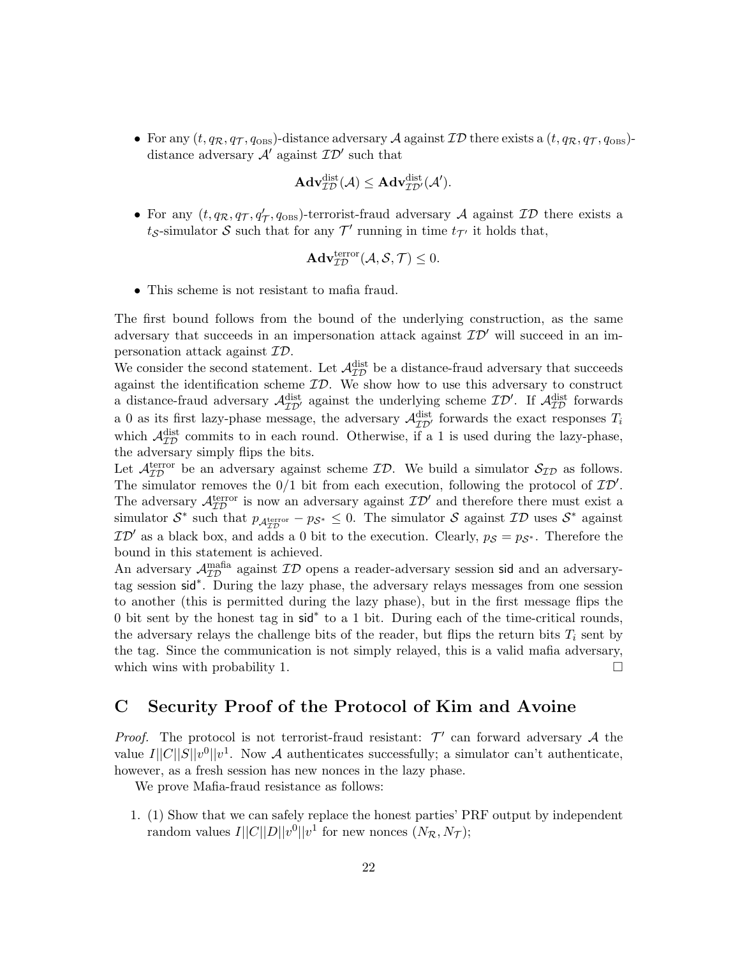• For any  $(t, q_{\mathcal{R}}, q_{\mathcal{T}}, q_{\text{OBS}})$ -distance adversary A against  $\mathcal{ID}$  there exists a  $(t, q_{\mathcal{R}}, q_{\mathcal{T}}, q_{\text{OBS}})$ distance adversary  $\mathcal{A}'$  against  $\mathcal{ID}'$  such that

$$
\mathbf{Adv}_{\mathcal{ID}}^{\text{dist}}(\mathcal{A}) \leq \mathbf{Adv}_{\mathcal{ID}'}^{\text{dist}}(\mathcal{A}').
$$

• For any  $(t, q_{\mathcal{R}}, q_{\mathcal{T}}, q_{\mathcal{T}}, q_{\text{OBS}})$ -terrorist-fraud adversary A against  $\mathcal{ID}$  there exists a  $t_{\mathcal{S}}$ -simulator  $\mathcal S$  such that for any  $\mathcal T'$  running in time  $t_{\mathcal{T}'}$  it holds that,

$$
\mathbf{Adv}_{\mathcal{ID}}^{\text{terror}}(\mathcal{A}, \mathcal{S}, \mathcal{T}) \leq 0.
$$

• This scheme is not resistant to mafia fraud.

The first bound follows from the bound of the underlying construction, as the same adversary that succeeds in an impersonation attack against  $\mathcal{ID}'$  will succeed in an impersonation attack against ID.

We consider the second statement. Let  $\mathcal{A}_{\mathcal{ID}}^{\text{dist}}$  be a distance-fraud adversary that succeeds against the identification scheme  $ID$ . We show how to use this adversary to construct a distance-fraud adversary  $\mathcal{A}_{\mathcal{ID}'}^{\text{dist}}$  against the underlying scheme  $\mathcal{ID}'$ . If  $\mathcal{A}_{\mathcal{ID}}^{\text{dist}}$  forwards a 0 as its first lazy-phase message, the adversary  $\mathcal{A}_{\mathcal{ID}'}^{\text{dist}}$  forwards the exact responses  $T_i$ which  $\mathcal{A}_{ID}^{\text{dist}}$  commits to in each round. Otherwise, if a 1 is used during the lazy-phase, the adversary simply flips the bits.

Let  $\mathcal{A}_{ID}^{\text{terror}}$  be an adversary against scheme  $ID$ . We build a simulator  $\mathcal{S}_{ID}$  as follows. The simulator removes the  $0/1$  bit from each execution, following the protocol of  $\mathcal{ID}'$ . The adversary  $\mathcal{A}_{\mathcal{ID}}^{\text{terror}}$  is now an adversary against  $\mathcal{ID}'$  and therefore there must exist a simulator  $S^*$  such that  $p_{\mathcal{A}_{\mathcal{ID}}^{terror}} - p_{S^*} \leq 0$ . The simulator S against  $\mathcal{ID}$  uses  $S^*$  against  $\mathcal{ID}'$  as a black box, and adds a 0 bit to the execution. Clearly,  $p_{\mathcal{S}} = p_{\mathcal{S}^*}$ . Therefore the bound in this statement is achieved.

An adversary  $\mathcal{A}_{\mathcal{ID}}^{\text{mafia}}$  against  $\mathcal{ID}$  opens a reader-adversary session sid and an adversarytag session sid<sup>∗</sup> . During the lazy phase, the adversary relays messages from one session to another (this is permitted during the lazy phase), but in the first message flips the 0 bit sent by the honest tag in sid<sup>∗</sup> to a 1 bit. During each of the time-critical rounds, the adversary relays the challenge bits of the reader, but flips the return bits  $T_i$  sent by the tag. Since the communication is not simply relayed, this is a valid mafia adversary, which wins with probability 1.  $\Box$ 

## C Security Proof of the Protocol of Kim and Avoine

*Proof.* The protocol is not terrorist-fraud resistant:  $\mathcal{T}'$  can forward adversary  $\mathcal{A}$  the value  $I||C||S||v^0||v^1$ . Now A authenticates successfully; a simulator can't authenticate, however, as a fresh session has new nonces in the lazy phase.

We prove Mafia-fraud resistance as follows:

1. (1) Show that we can safely replace the honest parties' PRF output by independent random values  $I||C||D||v^0||v^1$  for new nonces  $(N_{\mathcal{R}}, N_{\mathcal{T}})$ ;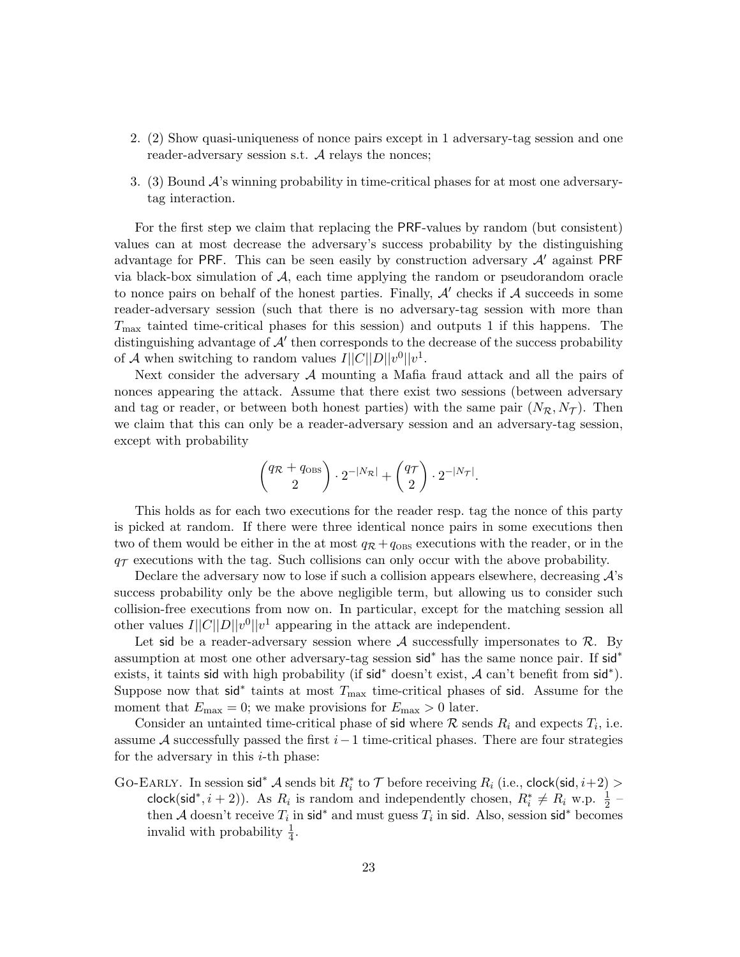- 2. (2) Show quasi-uniqueness of nonce pairs except in 1 adversary-tag session and one reader-adversary session s.t. A relays the nonces;
- 3. (3) Bound A's winning probability in time-critical phases for at most one adversarytag interaction.

For the first step we claim that replacing the PRF-values by random (but consistent) values can at most decrease the adversary's success probability by the distinguishing advantage for PRF. This can be seen easily by construction adversary  $\mathcal{A}'$  against PRF via black-box simulation of  $A$ , each time applying the random or pseudorandom oracle to nonce pairs on behalf of the honest parties. Finally,  $A'$  checks if  $A$  succeeds in some reader-adversary session (such that there is no adversary-tag session with more than  $T_{\text{max}}$  tainted time-critical phases for this session) and outputs 1 if this happens. The distinguishing advantage of  $A'$  then corresponds to the decrease of the success probability of A when switching to random values  $I||C||D||v^0||v^1$ .

Next consider the adversary  $A$  mounting a Mafia fraud attack and all the pairs of nonces appearing the attack. Assume that there exist two sessions (between adversary and tag or reader, or between both honest parties) with the same pair  $(N_R, N_T)$ . Then we claim that this can only be a reader-adversary session and an adversary-tag session, except with probability

$$
\binom{q_{\mathcal{R}}+q_{\mathrm{OBS}}}{2} \cdot 2^{-|N_{\mathcal{R}}|} + \binom{q_{\mathcal{T}}}{2} \cdot 2^{-|N_{\mathcal{T}}|}.
$$

This holds as for each two executions for the reader resp. tag the nonce of this party is picked at random. If there were three identical nonce pairs in some executions then two of them would be either in the at most  $q_{\mathcal{R}} + q_{\text{obs}}$  executions with the reader, or in the  $q_{\mathcal{T}}$  executions with the tag. Such collisions can only occur with the above probability.

Declare the adversary now to lose if such a collision appears elsewhere, decreasing  $\mathcal{A}$ 's success probability only be the above negligible term, but allowing us to consider such collision-free executions from now on. In particular, except for the matching session all other values  $I||C||D||v^0||v^1$  appearing in the attack are independent.

Let sid be a reader-adversary session where  $A$  successfully impersonates to  $R$ . By assumption at most one other adversary-tag session sid<sup>∗</sup> has the same nonce pair. If sid<sup>∗</sup> exists, it taints sid with high probability (if sid<sup>\*</sup> doesn't exist,  $A$  can't benefit from sid<sup>\*</sup>). Suppose now that  $sid^*$  taints at most  $T_{\text{max}}$  time-critical phases of sid. Assume for the moment that  $E_{\text{max}} = 0$ ; we make provisions for  $E_{\text{max}} > 0$  later.

Consider an untainted time-critical phase of sid where  $R$  sends  $R_i$  and expects  $T_i$ , i.e. assume A successfully passed the first  $i-1$  time-critical phases. There are four strategies for the adversary in this  $i$ -th phase:

GO-EARLY. In session sid<sup>\*</sup> A sends bit  $R_i^*$  to  $\mathcal T$  before receiving  $R_i$  (i.e., clock(sid,  $i+2$ ) > clock(sid<sup>\*</sup>, i + 2)). As  $R_i$  is random and independently chosen,  $R_i^* \neq R_i$  w.p.  $\frac{1}{2}$  then A doesn't receive  $T_i$  in sid<sup>\*</sup> and must guess  $T_i$  in sid. Also, session sid<sup>\*</sup> becomes invalid with probability  $\frac{1}{4}$ .